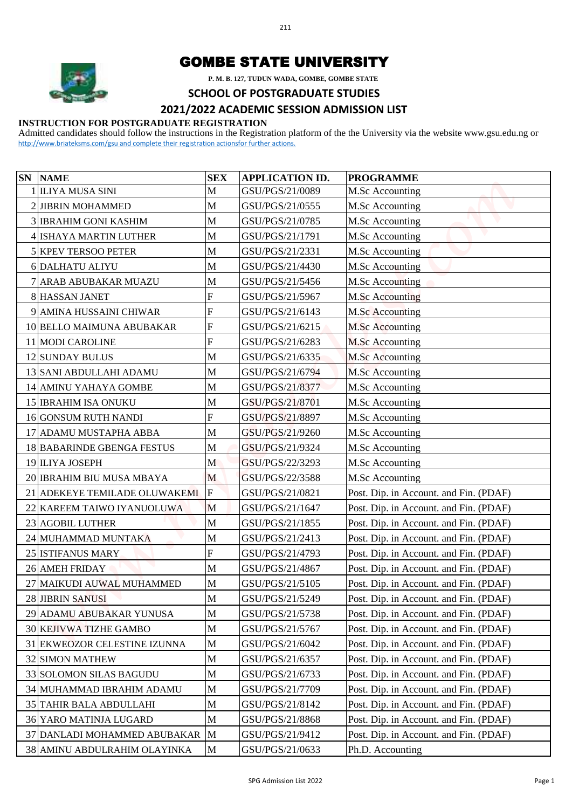

## GOMBE STATE UNIVERSITY

## **SCHOOL OF POSTGRADUATE STUDIES**

## **2021/2022 ACADEMIC SESSION ADMISSION LIST**

## **INSTRUCTION FOR POSTGRADUATE REGISTRATION**

|    |                                                                                           |                                       | P. M. B. 127, TUDUN WADA, GOMBE, GOMBE STATE |                                                                                                                                         |  |  |  |  |  |  |
|----|-------------------------------------------------------------------------------------------|---------------------------------------|----------------------------------------------|-----------------------------------------------------------------------------------------------------------------------------------------|--|--|--|--|--|--|
|    |                                                                                           | <b>SCHOOL OF POSTGRADUATE STUDIES</b> |                                              |                                                                                                                                         |  |  |  |  |  |  |
|    | 2021/2022 ACADEMIC SESSION ADMISSION LIST                                                 |                                       |                                              |                                                                                                                                         |  |  |  |  |  |  |
|    | <b>INSTRUCTION FOR POSTGRADUATE REGISTRATION</b>                                          |                                       |                                              | Admitted candidates should follow the instructions in the Registration platform of the the University via the website www.gsu.edu.ng or |  |  |  |  |  |  |
|    | http://www.briateksms.com/gsu and complete their registration actionsfor further actions. |                                       |                                              |                                                                                                                                         |  |  |  |  |  |  |
|    |                                                                                           |                                       |                                              |                                                                                                                                         |  |  |  |  |  |  |
| SN | <b>NAME</b>                                                                               | <b>SEX</b>                            | <b>APPLICATION ID.</b>                       | <b>PROGRAMME</b>                                                                                                                        |  |  |  |  |  |  |
|    | 1 ILIYA MUSA SINI<br>2 JIBRIN MOHAMMED                                                    | M                                     | GSU/PGS/21/0089<br>GSU/PGS/21/0555           | M.Sc Accounting                                                                                                                         |  |  |  |  |  |  |
|    | <b>3 IBRAHIM GONI KASHIM</b>                                                              | M<br>M                                | GSU/PGS/21/0785                              | M.Sc Accounting<br>M.Sc Accounting                                                                                                      |  |  |  |  |  |  |
|    | 4 ISHAYA MARTIN LUTHER                                                                    | M                                     | GSU/PGS/21/1791                              | M.Sc Accounting                                                                                                                         |  |  |  |  |  |  |
|    |                                                                                           | M                                     | GSU/PGS/21/2331                              |                                                                                                                                         |  |  |  |  |  |  |
|    | 5 KPEV TERSOO PETER<br>6 DALHATU ALIYU                                                    |                                       | GSU/PGS/21/4430                              | M.Sc Accounting                                                                                                                         |  |  |  |  |  |  |
|    |                                                                                           | M                                     |                                              | M.Sc Accounting                                                                                                                         |  |  |  |  |  |  |
|    | 7 ARAB ABUBAKAR MUAZU                                                                     | M                                     | GSU/PGS/21/5456                              | <b>M.Sc Accounting</b>                                                                                                                  |  |  |  |  |  |  |
|    | <b>8 HASSAN JANET</b>                                                                     | F<br>$\mathbf{F}$                     | GSU/PGS/21/5967                              | <b>M.Sc Accounting</b>                                                                                                                  |  |  |  |  |  |  |
|    | 9 AMINA HUSSAINI CHIWAR                                                                   |                                       | GSU/PGS/21/6143                              | <b>M.Sc</b> Accounting                                                                                                                  |  |  |  |  |  |  |
|    | 10 BELLO MAIMUNA ABUBAKAR                                                                 | F                                     | GSU/PGS/21/6215                              | <b>M.Sc Accounting</b>                                                                                                                  |  |  |  |  |  |  |
|    | 11 MODI CAROLINE                                                                          | $\mathbf{F}$                          | GSU/PGS/21/6283                              | <b>M.Sc Accounting</b>                                                                                                                  |  |  |  |  |  |  |
|    | 12 SUNDAY BULUS                                                                           | M                                     | GSU/PGS/21/6335                              | <b>M.Sc Accounting</b>                                                                                                                  |  |  |  |  |  |  |
|    | 13 SANI ABDULLAHI ADAMU                                                                   | M                                     | GSU/PGS/21/6794                              | M.Sc Accounting                                                                                                                         |  |  |  |  |  |  |
|    | 14 AMINU YAHAYA GOMBE                                                                     | M                                     | GSU/PGS/21/8377                              | M.Sc Accounting                                                                                                                         |  |  |  |  |  |  |
|    | <b>15 IBRAHIM ISA ONUKU</b>                                                               | M                                     | GSU/PGS/21/8701                              | M.Sc Accounting                                                                                                                         |  |  |  |  |  |  |
|    | 16 GONSUM RUTH NANDI                                                                      | F                                     | GSU/PGS/21/8897                              | M.Sc Accounting                                                                                                                         |  |  |  |  |  |  |
|    | 17 ADAMU MUSTAPHA ABBA                                                                    | M                                     | GSU/PGS/21/9260                              | M.Sc Accounting                                                                                                                         |  |  |  |  |  |  |
|    | 18 BABARINDE GBENGA FESTUS                                                                | M                                     | GSU/PGS/21/9324                              | M.Sc Accounting                                                                                                                         |  |  |  |  |  |  |
|    | 19 ILIYA JOSEPH                                                                           | M                                     | GSU/PGS/22/3293                              | M.Sc Accounting                                                                                                                         |  |  |  |  |  |  |
|    | 20 IBRAHIM BIU MUSA MBAYA                                                                 | M                                     | GSU/PGS/22/3588                              | M.Sc Accounting                                                                                                                         |  |  |  |  |  |  |
|    | 21 ADEKEYE TEMILADE OLUWAKEMI                                                             | $\mathbf F$                           | GSU/PGS/21/0821                              | Post. Dip. in Account. and Fin. (PDAF)                                                                                                  |  |  |  |  |  |  |
|    | 22 KAREEM TAIWO IYANUOLUWA                                                                | M                                     | GSU/PGS/21/1647                              | Post. Dip. in Account. and Fin. (PDAF)                                                                                                  |  |  |  |  |  |  |
|    | 23 AGOBIL LUTHER                                                                          | M                                     | GSU/PGS/21/1855                              | Post. Dip. in Account. and Fin. (PDAF)                                                                                                  |  |  |  |  |  |  |
|    | 24 MUHAMMAD MUNTAKA                                                                       | M                                     | GSU/PGS/21/2413                              | Post. Dip. in Account. and Fin. (PDAF)                                                                                                  |  |  |  |  |  |  |
|    | 25 ISTIFANUS MARY                                                                         | $\mathbf F$                           | GSU/PGS/21/4793                              | Post. Dip. in Account. and Fin. (PDAF)                                                                                                  |  |  |  |  |  |  |
|    | 26 AMEH FRIDAY                                                                            | M                                     | GSU/PGS/21/4867                              | Post. Dip. in Account. and Fin. (PDAF)                                                                                                  |  |  |  |  |  |  |
|    | 27 MAIKUDI AUWAL MUHAMMED                                                                 | M                                     | GSU/PGS/21/5105                              | Post. Dip. in Account. and Fin. (PDAF)                                                                                                  |  |  |  |  |  |  |
|    | 28 JIBRIN SANUSI                                                                          | M                                     | GSU/PGS/21/5249                              | Post. Dip. in Account. and Fin. (PDAF)                                                                                                  |  |  |  |  |  |  |
|    | 29 ADAMU ABUBAKAR YUNUSA                                                                  | M                                     | GSU/PGS/21/5738                              | Post. Dip. in Account. and Fin. (PDAF)                                                                                                  |  |  |  |  |  |  |
|    | 30 KEJIVWA TIZHE GAMBO                                                                    | M                                     | GSU/PGS/21/5767                              | Post. Dip. in Account. and Fin. (PDAF)                                                                                                  |  |  |  |  |  |  |
|    | 31 EKWEOZOR CELESTINE IZUNNA                                                              | M                                     | GSU/PGS/21/6042                              | Post. Dip. in Account. and Fin. (PDAF)                                                                                                  |  |  |  |  |  |  |
|    | <b>32 SIMON MATHEW</b>                                                                    | M                                     | GSU/PGS/21/6357                              | Post. Dip. in Account. and Fin. (PDAF)                                                                                                  |  |  |  |  |  |  |
|    | 33 SOLOMON SILAS BAGUDU                                                                   | M                                     | GSU/PGS/21/6733                              | Post. Dip. in Account. and Fin. (PDAF)                                                                                                  |  |  |  |  |  |  |
|    | 34 MUHAMMAD IBRAHIM ADAMU                                                                 | M                                     | GSU/PGS/21/7709                              | Post. Dip. in Account. and Fin. (PDAF)                                                                                                  |  |  |  |  |  |  |
|    | 35 TAHIR BALA ABDULLAHI                                                                   | M                                     | GSU/PGS/21/8142                              | Post. Dip. in Account. and Fin. (PDAF)                                                                                                  |  |  |  |  |  |  |
|    | 36 YARO MATINJA LUGARD                                                                    | M                                     | GSU/PGS/21/8868                              | Post. Dip. in Account. and Fin. (PDAF)                                                                                                  |  |  |  |  |  |  |
|    | 37 DANLADI MOHAMMED ABUBAKAR                                                              | M                                     | GSU/PGS/21/9412                              | Post. Dip. in Account. and Fin. (PDAF)                                                                                                  |  |  |  |  |  |  |
|    | 38 AMINU ABDULRAHIM OLAYINKA                                                              | $\mathbf M$                           | GSU/PGS/21/0633                              | Ph.D. Accounting                                                                                                                        |  |  |  |  |  |  |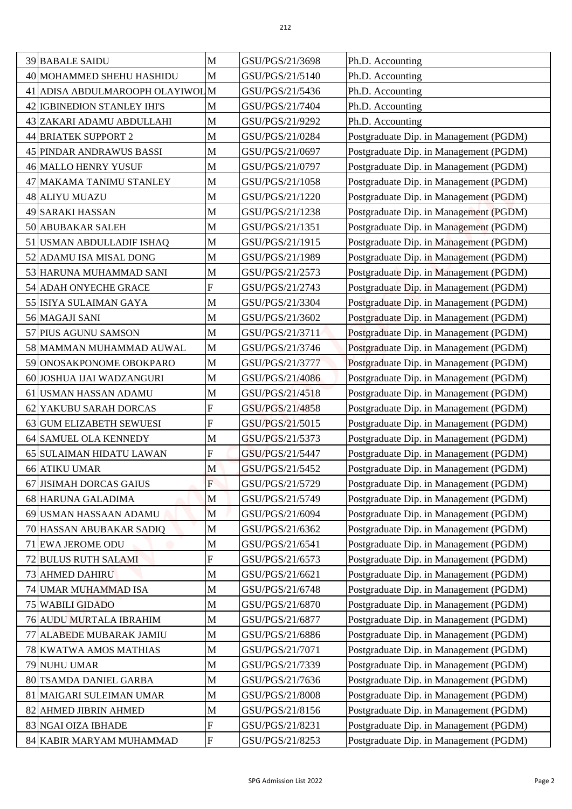| <b>39 BABALE SAIDU</b>                                          | M                         | GSU/PGS/21/3698                    |                                        |
|-----------------------------------------------------------------|---------------------------|------------------------------------|----------------------------------------|
|                                                                 | M                         |                                    | Ph.D. Accounting                       |
| 40 MOHAMMED SHEHU HASHIDU                                       |                           | GSU/PGS/21/5140                    | Ph.D. Accounting                       |
| 41 ADISA ABDULMAROOPH OLAYIWOL M<br>42 IGBINEDION STANLEY IHI'S |                           | GSU/PGS/21/5436                    | Ph.D. Accounting                       |
|                                                                 | M<br>$\mathbf M$          | GSU/PGS/21/7404<br>GSU/PGS/21/9292 | Ph.D. Accounting                       |
| 43 ZAKARI ADAMU ABDULLAHI                                       |                           |                                    | Ph.D. Accounting                       |
| 44 BRIATEK SUPPORT 2                                            | M                         | GSU/PGS/21/0284                    | Postgraduate Dip. in Management (PGDM) |
| 45 PINDAR ANDRAWUS BASSI                                        | M                         | GSU/PGS/21/0697                    | Postgraduate Dip. in Management (PGDM) |
| 46 MALLO HENRY YUSUF                                            | M                         | GSU/PGS/21/0797                    | Postgraduate Dip. in Management (PGDM) |
| 47 MAKAMA TANIMU STANLEY                                        | M                         | GSU/PGS/21/1058                    | Postgraduate Dip. in Management (PGDM) |
| 48 ALIYU MUAZU                                                  | $\mathbf M$               | GSU/PGS/21/1220                    | Postgraduate Dip. in Management (PGDM) |
| 49 SARAKI HASSAN                                                | M                         | GSU/PGS/21/1238                    | Postgraduate Dip. in Management (PGDM) |
| 50 ABUBAKAR SALEH                                               | M                         | GSU/PGS/21/1351                    | Postgraduate Dip. in Management (PGDM) |
| 51 USMAN ABDULLADIF ISHAQ                                       | $\mathbf M$               | GSU/PGS/21/1915                    | Postgraduate Dip. in Management (PGDM) |
| 52 ADAMU ISA MISAL DONG                                         | M                         | GSU/PGS/21/1989                    | Postgraduate Dip. in Management (PGDM) |
| 53 HARUNA MUHAMMAD SANI                                         | M                         | GSU/PGS/21/2573                    | Postgraduate Dip. in Management (PGDM) |
| 54 ADAH ONYECHE GRACE                                           | $\boldsymbol{\mathrm{F}}$ | GSU/PGS/21/2743                    | Postgraduate Dip. in Management (PGDM) |
| 55 ISIYA SULAIMAN GAYA                                          | M                         | GSU/PGS/21/3304                    | Postgraduate Dip. in Management (PGDM) |
| 56 MAGAJI SANI                                                  | $\mathbf M$               | GSU/PGS/21/3602                    | Postgraduate Dip. in Management (PGDM) |
| 57 PIUS AGUNU SAMSON                                            | M                         | GSU/PGS/21/3711                    | Postgraduate Dip. in Management (PGDM) |
| 58 MAMMAN MUHAMMAD AUWAL                                        | $\mathbf M$               | GSU/PGS/21/3746                    | Postgraduate Dip. in Management (PGDM) |
| 59 ONOSAKPONOME OBOKPARO                                        | M                         | GSU/PGS/21/3777                    | Postgraduate Dip. in Management (PGDM) |
| 60 JOSHUA IJAI WADZANGURI                                       | $\mathbf M$               | GSU/PGS/21/4086                    | Postgraduate Dip. in Management (PGDM) |
| 61 USMAN HASSAN ADAMU                                           | M                         | GSU/PGS/21/4518                    | Postgraduate Dip. in Management (PGDM) |
| 62 YAKUBU SARAH DORCAS                                          | F                         | GSU/PGS/21/4858                    | Postgraduate Dip. in Management (PGDM) |
| 63 GUM ELIZABETH SEWUESI                                        | $\mathbf F$               | GSU/PGS/21/5015                    | Postgraduate Dip. in Management (PGDM) |
| 64 SAMUEL OLA KENNEDY                                           | $\mathbf M$               | GSU/PGS/21/5373                    | Postgraduate Dip. in Management (PGDM) |
| 65 SULAIMAN HIDATU LAWAN                                        | F                         | GSU/PGS/21/5447                    | Postgraduate Dip. in Management (PGDM) |
| <b>66 ATIKU UMAR</b>                                            | M                         | GSU/PGS/21/5452                    | Postgraduate Dip. in Management (PGDM) |
| 67 JISIMAH DORCAS GAIUS                                         | $\overline{F}$            | GSU/PGS/21/5729                    | Postgraduate Dip. in Management (PGDM) |
| 68 HARUNA GALADIMA                                              | M                         | GSU/PGS/21/5749                    | Postgraduate Dip. in Management (PGDM) |
| 69 USMAN HASSAAN ADAMU                                          | M                         | GSU/PGS/21/6094                    | Postgraduate Dip. in Management (PGDM) |
| 70 HASSAN ABUBAKAR SADIQ                                        | $\mathbf M$               | GSU/PGS/21/6362                    | Postgraduate Dip. in Management (PGDM) |
| 71 EWA JEROME ODU                                               | $\mathbf M$               | GSU/PGS/21/6541                    | Postgraduate Dip. in Management (PGDM) |
| 72 BULUS RUTH SALAMI                                            | $\overline{F}$            | GSU/PGS/21/6573                    | Postgraduate Dip. in Management (PGDM) |
| 73 AHMED DAHIRU                                                 | M                         | GSU/PGS/21/6621                    | Postgraduate Dip. in Management (PGDM) |
| 74 UMAR MUHAMMAD ISA                                            | M                         | GSU/PGS/21/6748                    | Postgraduate Dip. in Management (PGDM) |
| 75 WABILI GIDADO                                                | $\mathbf M$               | GSU/PGS/21/6870                    | Postgraduate Dip. in Management (PGDM) |
| 76 AUDU MURTALA IBRAHIM                                         | M                         | GSU/PGS/21/6877                    | Postgraduate Dip. in Management (PGDM) |
| 77 ALABEDE MUBARAK JAMIU                                        | $\mathbf M$               | GSU/PGS/21/6886                    | Postgraduate Dip. in Management (PGDM) |
| 78 KWATWA AMOS MATHIAS                                          | $\mathbf M$               | GSU/PGS/21/7071                    | Postgraduate Dip. in Management (PGDM) |
| 79 NUHU UMAR                                                    | M                         | GSU/PGS/21/7339                    | Postgraduate Dip. in Management (PGDM) |
| 80 TSAMDA DANIEL GARBA                                          | $\mathbf M$               | GSU/PGS/21/7636                    | Postgraduate Dip. in Management (PGDM) |
| 81 MAIGARI SULEIMAN UMAR                                        | M                         | GSU/PGS/21/8008                    | Postgraduate Dip. in Management (PGDM) |
| 82 AHMED JIBRIN AHMED                                           | M                         | GSU/PGS/21/8156                    | Postgraduate Dip. in Management (PGDM) |
| 83 NGAI OIZA IBHADE                                             | $\boldsymbol{\mathrm{F}}$ | GSU/PGS/21/8231                    | Postgraduate Dip. in Management (PGDM) |
| 84 KABIR MARYAM MUHAMMAD                                        | ${\bf F}$                 | GSU/PGS/21/8253                    | Postgraduate Dip. in Management (PGDM) |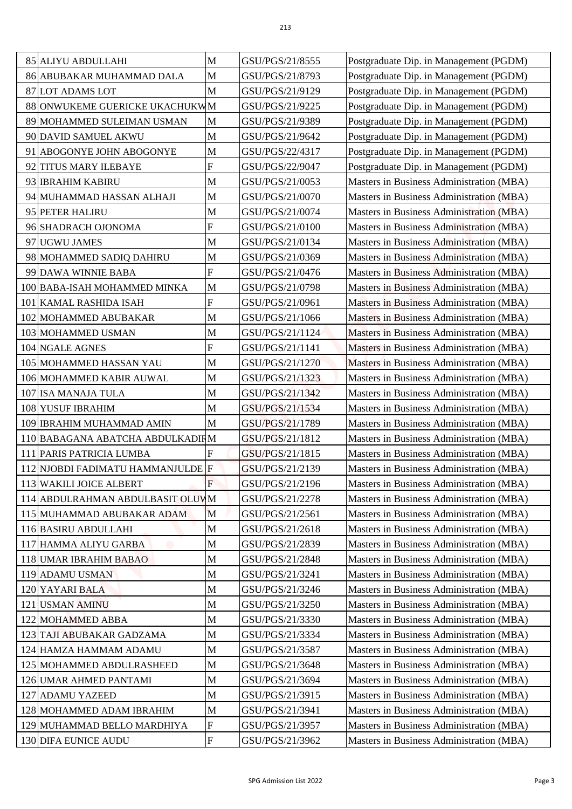| 85 ALIYU ABDULLAHI                | M                         | GSU/PGS/21/8555 |                                                                                  |
|-----------------------------------|---------------------------|-----------------|----------------------------------------------------------------------------------|
| 86 ABUBAKAR MUHAMMAD DALA         | M                         | GSU/PGS/21/8793 | Postgraduate Dip. in Management (PGDM)                                           |
| 87 LOT ADAMS LOT                  | M                         | GSU/PGS/21/9129 | Postgraduate Dip. in Management (PGDM)                                           |
| 88 ONWUKEME GUERICKE UKACHUKWM    |                           | GSU/PGS/21/9225 | Postgraduate Dip. in Management (PGDM)<br>Postgraduate Dip. in Management (PGDM) |
| 89 MOHAMMED SULEIMAN USMAN        | $\mathbf{M}$              | GSU/PGS/21/9389 | Postgraduate Dip. in Management (PGDM)                                           |
| 90 DAVID SAMUEL AKWU              | M                         | GSU/PGS/21/9642 |                                                                                  |
|                                   | M                         | GSU/PGS/22/4317 | Postgraduate Dip. in Management (PGDM)                                           |
| 91 ABOGONYE JOHN ABOGONYE         | $\boldsymbol{\mathrm{F}}$ |                 | Postgraduate Dip. in Management (PGDM)                                           |
| 92 TITUS MARY ILEBAYE             |                           | GSU/PGS/22/9047 | Postgraduate Dip. in Management (PGDM)                                           |
| 93 <b>IBRAHIM KABIRU</b>          | M                         | GSU/PGS/21/0053 | Masters in Business Administration (MBA)                                         |
| 94 MUHAMMAD HASSAN ALHAJI         | M                         | GSU/PGS/21/0070 | Masters in Business Administration (MBA)                                         |
| 95 PETER HALIRU                   | M                         | GSU/PGS/21/0074 | Masters in Business Administration (MBA)                                         |
| 96 SHADRACH OJONOMA               | ${\bf F}$                 | GSU/PGS/21/0100 | Masters in Business Administration (MBA)                                         |
| 97 UGWU JAMES                     | M                         | GSU/PGS/21/0134 | Masters in Business Administration (MBA)                                         |
| 98 MOHAMMED SADIQ DAHIRU          | M                         | GSU/PGS/21/0369 | Masters in Business Administration (MBA)                                         |
| 99 DAWA WINNIE BABA               | ${\bf F}$                 | GSU/PGS/21/0476 | Masters in Business Administration (MBA)                                         |
| 100 BABA-ISAH MOHAMMED MINKA      | M                         | GSU/PGS/21/0798 | Masters in Business Administration (MBA)                                         |
| 101 KAMAL RASHIDA ISAH            | $\boldsymbol{\mathrm{F}}$ | GSU/PGS/21/0961 | <b>Masters in Business Administration (MBA)</b>                                  |
| 102 MOHAMMED ABUBAKAR             | M                         | GSU/PGS/21/1066 | Masters in Business Administration (MBA)                                         |
| 103 MOHAMMED USMAN                | M                         | GSU/PGS/21/1124 | Masters in Business Administration (MBA)                                         |
| 104 NGALE AGNES                   | ${\bf F}$                 | GSU/PGS/21/1141 | Masters in Business Administration (MBA)                                         |
| 105 MOHAMMED HASSAN YAU           | M                         | GSU/PGS/21/1270 | Masters in Business Administration (MBA)                                         |
| 106 MOHAMMED KABIR AUWAL          | M                         | GSU/PGS/21/1323 | Masters in Business Administration (MBA)                                         |
| 107 ISA MANAJA TULA               | M                         | GSU/PGS/21/1342 | Masters in Business Administration (MBA)                                         |
| 108 YUSUF IBRAHIM                 | M                         | GSU/PGS/21/1534 | Masters in Business Administration (MBA)                                         |
| 109 IBRAHIM MUHAMMAD AMIN         | M                         | GSU/PGS/21/1789 | Masters in Business Administration (MBA)                                         |
| 110 BABAGANA ABATCHA ABDULKADIRM  |                           | GSU/PGS/21/1812 | Masters in Business Administration (MBA)                                         |
| 111 PARIS PATRICIA LUMBA          |                           | GSU/PGS/21/1815 | Masters in Business Administration (MBA)                                         |
| 112 NJOBDI FADIMATU HAMMANJULDE F |                           | GSU/PGS/21/2139 | <b>Masters in Business Administration (MBA)</b>                                  |
| 113 WAKILI JOICE ALBERT           | $\mathbf F$               | GSU/PGS/21/2196 | Masters in Business Administration (MBA)                                         |
| 114 ABDULRAHMAN ABDULBASIT OLUWM  |                           | GSU/PGS/21/2278 | Masters in Business Administration (MBA)                                         |
| 115 MUHAMMAD ABUBAKAR ADAM        | M                         | GSU/PGS/21/2561 | Masters in Business Administration (MBA)                                         |
| 116 BASIRU ABDULLAHI              | M                         | GSU/PGS/21/2618 | Masters in Business Administration (MBA)                                         |
| 117 HAMMA ALIYU GARBA             | M                         | GSU/PGS/21/2839 | Masters in Business Administration (MBA)                                         |
| 118 UMAR IBRAHIM BABAO            | M                         | GSU/PGS/21/2848 | Masters in Business Administration (MBA)                                         |
| 119 ADAMU USMAN                   | M                         | GSU/PGS/21/3241 | Masters in Business Administration (MBA)                                         |
| 120 YAYARI BALA                   | M                         | GSU/PGS/21/3246 | Masters in Business Administration (MBA)                                         |
| 121 USMAN AMINU                   | M                         | GSU/PGS/21/3250 | Masters in Business Administration (MBA)                                         |
| 122 MOHAMMED ABBA                 | M                         | GSU/PGS/21/3330 | Masters in Business Administration (MBA)                                         |
| 123 TAJI ABUBAKAR GADZAMA         | M                         | GSU/PGS/21/3334 | Masters in Business Administration (MBA)                                         |
| 124 HAMZA HAMMAM ADAMU            | M                         | GSU/PGS/21/3587 | Masters in Business Administration (MBA)                                         |
| 125 MOHAMMED ABDULRASHEED         | M                         | GSU/PGS/21/3648 | Masters in Business Administration (MBA)                                         |
| 126 UMAR AHMED PANTAMI            | M                         | GSU/PGS/21/3694 | Masters in Business Administration (MBA)                                         |
| 127 ADAMU YAZEED                  | M                         | GSU/PGS/21/3915 | Masters in Business Administration (MBA)                                         |
| 128 MOHAMMED ADAM IBRAHIM         | M                         | GSU/PGS/21/3941 | Masters in Business Administration (MBA)                                         |
| 129 MUHAMMAD BELLO MARDHIYA       | F                         | GSU/PGS/21/3957 | Masters in Business Administration (MBA)                                         |
| 130 DIFA EUNICE AUDU              | ${\bf F}$                 | GSU/PGS/21/3962 | Masters in Business Administration (MBA)                                         |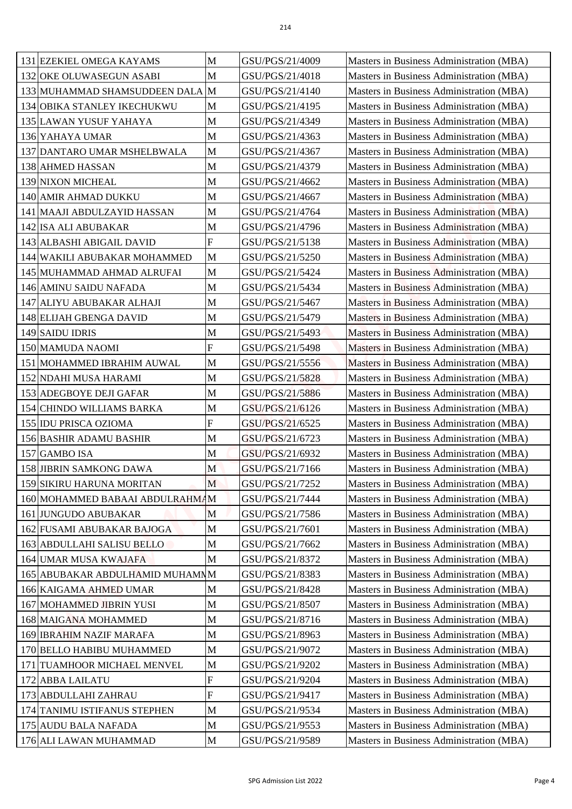| 131 EZEKIEL OMEGA KAYAMS                       | M                | GSU/PGS/21/4009                    | Masters in Business Administration (MBA)                                             |
|------------------------------------------------|------------------|------------------------------------|--------------------------------------------------------------------------------------|
| 132 OKE OLUWASEGUN ASABI                       | M                | GSU/PGS/21/4018                    | Masters in Business Administration (MBA)                                             |
| 133 MUHAMMAD SHAMSUDDEEN DALA M                |                  | GSU/PGS/21/4140                    | Masters in Business Administration (MBA)                                             |
| 134 OBIKA STANLEY IKECHUKWU                    | M                | GSU/PGS/21/4195                    | Masters in Business Administration (MBA)                                             |
| 135 LAWAN YUSUF YAHAYA                         | M                | GSU/PGS/21/4349                    | Masters in Business Administration (MBA)                                             |
| 136 YAHAYA UMAR                                | M                | GSU/PGS/21/4363                    | Masters in Business Administration (MBA)                                             |
| 137 DANTARO UMAR MSHELBWALA                    | M                | GSU/PGS/21/4367                    | Masters in Business Administration (MBA)                                             |
| 138 AHMED HASSAN                               | M                | GSU/PGS/21/4379                    | Masters in Business Administration (MBA)                                             |
| 139 NIXON MICHEAL                              | M                | GSU/PGS/21/4662                    | Masters in Business Administration (MBA)                                             |
| 140 AMIR AHMAD DUKKU                           | M                | GSU/PGS/21/4667                    | Masters in Business Administration (MBA)                                             |
| 141 MAAJI ABDULZAYID HASSAN                    | M                | GSU/PGS/21/4764                    | Masters in Business Administration (MBA)                                             |
| 142 ISA ALI ABUBAKAR                           | M                | GSU/PGS/21/4796                    | Masters in Business Administration (MBA)                                             |
| 143 ALBASHI ABIGAIL DAVID                      | ${\bf F}$        | GSU/PGS/21/5138                    | Masters in Business Administration (MBA)                                             |
| 144 WAKILI ABUBAKAR MOHAMMED                   | M                | GSU/PGS/21/5250                    | Masters in Business Administration (MBA)                                             |
| 145 MUHAMMAD AHMAD ALRUFAI                     | M                | GSU/PGS/21/5424                    | Masters in Business Administration (MBA)                                             |
| 146 AMINU SAIDU NAFADA                         | M                | GSU/PGS/21/5434                    | Masters in Business Administration (MBA)                                             |
| 147 ALIYU ABUBAKAR ALHAJI                      | M                | GSU/PGS/21/5467                    | <b>Masters in Business Administration (MBA)</b>                                      |
| 148 ELIJAH GBENGA DAVID                        | M                | GSU/PGS/21/5479                    | Masters in Business Administration (MBA)                                             |
| 149 SAIDU IDRIS                                | M                | GSU/PGS/21/5493                    | Masters in Business Administration (MBA)                                             |
| 150 MAMUDA NAOMI                               | $\boldsymbol{F}$ | GSU/PGS/21/5498                    | <b>Masters in Business Administration (MBA)</b>                                      |
| 151 MOHAMMED IBRAHIM AUWAL                     | M                | GSU/PGS/21/5556                    | Masters in Business Administration (MBA)                                             |
| 152 NDAHI MUSA HARAMI                          | M                | GSU/PGS/21/5828                    | Masters in Business Administration (MBA)                                             |
| 153 ADEGBOYE DEJI GAFAR                        | M                | GSU/PGS/21/5886                    | Masters in Business Administration (MBA)                                             |
| 154 CHINDO WILLIAMS BARKA                      | M                | GSU/PGS/21/6126                    | Masters in Business Administration (MBA)                                             |
| 155 IDU PRISCA OZIOMA                          | $\mathbf{F}$     | GSU/PGS/21/6525                    | Masters in Business Administration (MBA)                                             |
| 156 BASHIR ADAMU BASHIR                        | $\mathbf M$      | GSU/PGS/21/6723                    | Masters in Business Administration (MBA)                                             |
| 157 GAMBO ISA                                  | M                | GSU/PGS/21/6932                    | Masters in Business Administration (MBA)                                             |
| 158 JIBRIN SAMKONG DAWA                        | M                | GSU/PGS/21/7166                    | <b>Masters in Business Administration (MBA)</b>                                      |
| 159 SIKIRU HARUNA MORITAN                      | M                | GSU/PGS/21/7252                    | Masters in Business Administration (MBA)                                             |
| 160 MOHAMMED BABAAI ABDULRAHMAM                |                  | GSU/PGS/21/7444                    | <b>Masters in Business Administration (MBA)</b>                                      |
| 161 JUNGUDO ABUBAKAR                           | M                | GSU/PGS/21/7586                    | Masters in Business Administration (MBA)                                             |
| 162 FUSAMI ABUBAKAR BAJOGA                     | M                | GSU/PGS/21/7601                    | Masters in Business Administration (MBA)                                             |
| 163 ABDULLAHI SALISU BELLO                     | M                | GSU/PGS/21/7662                    | <b>Masters in Business Administration (MBA)</b>                                      |
| 164 UMAR MUSA KWAJAFA                          | M                | GSU/PGS/21/8372                    | Masters in Business Administration (MBA)                                             |
| 165 ABUBAKAR ABDULHAMID MUHAMNM                |                  | GSU/PGS/21/8383                    | Masters in Business Administration (MBA)                                             |
| 166 KAIGAMA AHMED UMAR                         | M                | GSU/PGS/21/8428                    | Masters in Business Administration (MBA)                                             |
| 167 MOHAMMED JIBRIN YUSI                       | M                | GSU/PGS/21/8507                    | Masters in Business Administration (MBA)                                             |
| 168 MAIGANA MOHAMMED                           | M                | GSU/PGS/21/8716                    | Masters in Business Administration (MBA)                                             |
| 169 IBRAHIM NAZIF MARAFA                       | M                | GSU/PGS/21/8963                    | Masters in Business Administration (MBA)                                             |
| 170 BELLO HABIBU MUHAMMED                      | M                | GSU/PGS/21/9072                    | Masters in Business Administration (MBA)                                             |
| TUAMHOOR MICHAEL MENVEL<br>171                 | M                | GSU/PGS/21/9202                    | Masters in Business Administration (MBA)                                             |
| 172 ABBA LAILATU                               | ${\bf F}$        | GSU/PGS/21/9204                    | Masters in Business Administration (MBA)                                             |
| 173 ABDULLAHI ZAHRAU                           | F                | GSU/PGS/21/9417                    | Masters in Business Administration (MBA)                                             |
|                                                | M                | GSU/PGS/21/9534                    | Masters in Business Administration (MBA)                                             |
| 174 TANIMU ISTIFANUS STEPHEN                   |                  |                                    |                                                                                      |
| 175 AUDU BALA NAFADA<br>176 ALI LAWAN MUHAMMAD | M<br>M           | GSU/PGS/21/9553<br>GSU/PGS/21/9589 | Masters in Business Administration (MBA)<br>Masters in Business Administration (MBA) |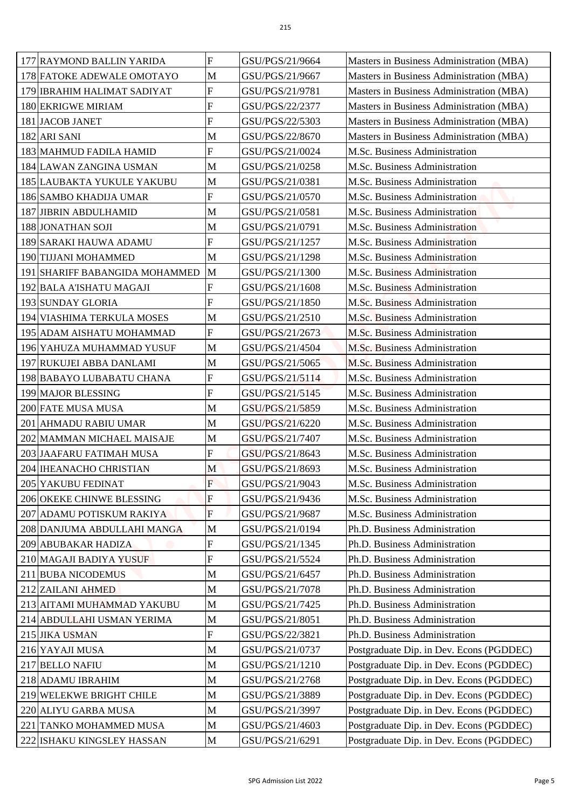| 177 RAYMOND BALLIN YARIDA                                       | F                         | GSU/PGS/21/9664                    | Masters in Business Administration (MBA)                                             |
|-----------------------------------------------------------------|---------------------------|------------------------------------|--------------------------------------------------------------------------------------|
| 178 FATOKE ADEWALE OMOTAYO                                      | M                         | GSU/PGS/21/9667                    | Masters in Business Administration (MBA)                                             |
| 179 IBRAHIM HALIMAT SADIYAT                                     | $\mathbf F$               | GSU/PGS/21/9781                    | Masters in Business Administration (MBA)                                             |
| 180 EKRIGWE MIRIAM                                              | $\boldsymbol{F}$          | GSU/PGS/22/2377                    | Masters in Business Administration (MBA)                                             |
| 181 JACOB JANET                                                 | $\overline{F}$            | GSU/PGS/22/5303                    | Masters in Business Administration (MBA)                                             |
| 182 ARI SANI                                                    | M                         | GSU/PGS/22/8670                    | Masters in Business Administration (MBA)                                             |
| 183 MAHMUD FADILA HAMID                                         | F                         | GSU/PGS/21/0024                    | M.Sc. Business Administration                                                        |
| 184 LAWAN ZANGINA USMAN                                         | M                         | GSU/PGS/21/0258                    | M.Sc. Business Administration                                                        |
| 185 LAUBAKTA YUKULE YAKUBU                                      | M                         | GSU/PGS/21/0381                    | M.Sc. Business Administration                                                        |
| 186 SAMBO KHADIJA UMAR                                          | F                         | GSU/PGS/21/0570                    | M.Sc. Business Administration                                                        |
| 187 JIBRIN ABDULHAMID                                           | M                         | GSU/PGS/21/0581                    | M.Sc. Business Administration                                                        |
| 188 JONATHAN SOJI                                               | M                         | GSU/PGS/21/0791                    | M.Sc. Business Administration                                                        |
| 189 SARAKI HAUWA ADAMU                                          | F                         | GSU/PGS/21/1257                    | M.Sc. Business Administration                                                        |
| 190 TIJJANI MOHAMMED                                            | M                         | GSU/PGS/21/1298                    | M.Sc. Business Administration                                                        |
| 191 SHARIFF BABANGIDA MOHAMMED                                  | M                         | GSU/PGS/21/1300                    | M.Sc. Business Administration                                                        |
| 192 BALA A'ISHATU MAGAJI                                        | $\boldsymbol{\mathrm{F}}$ | GSU/PGS/21/1608                    | M.Sc. Business Administration                                                        |
| 193 SUNDAY GLORIA                                               | F                         | GSU/PGS/21/1850                    | M.Sc. Business Administration                                                        |
| 194 VIASHIMA TERKULA MOSES                                      | M                         | GSU/PGS/21/2510                    | M.Sc. Business Administration                                                        |
| 195 ADAM AISHATU MOHAMMAD                                       | $\mathbf F$               | GSU/PGS/21/2673                    | M.Sc. Business Administration                                                        |
| 196 YAHUZA MUHAMMAD YUSUF                                       | M                         | GSU/PGS/21/4504                    | M.Sc. Business Administration                                                        |
| 197 RUKUJEI ABBA DANLAMI                                        | M                         | GSU/PGS/21/5065                    | M.Sc. Business Administration                                                        |
| 198 BABAYO LUBABATU CHANA                                       | F                         | GSU/PGS/21/5114                    | M.Sc. Business Administration                                                        |
| 199 MAJOR BLESSING                                              | $\overline{F}$            | GSU/PGS/21/5145                    | M.Sc. Business Administration                                                        |
| 200 FATE MUSA MUSA                                              | M                         | GSU/PGS/21/5859                    | M.Sc. Business Administration                                                        |
| 201 AHMADU RABIU UMAR                                           | M                         | GSU/PGS/21/6220                    | M.Sc. Business Administration                                                        |
| 202 MAMMAN MICHAEL MAISAJE                                      | $\mathbf{M}$              | GSU/PGS/21/7407                    | M.Sc. Business Administration                                                        |
| 203 JAAFARU FATIMAH MUSA                                        | F                         | GSU/PGS/21/8643                    | M.Sc. Business Administration                                                        |
| 204 IHEANACHO CHRISTIAN                                         | M                         | GSU/PGS/21/8693                    | M.Sc. Business Administration                                                        |
| 205 YAKUBU FEDINAT                                              | $\overline{F}$            | GSU/PGS/21/9043                    | M.Sc. Business Administration                                                        |
| 206 OKEKE CHINWE BLESSING                                       | F                         | GSU/PGS/21/9436                    | M.Sc. Business Administration                                                        |
| 207 ADAMU POTISKUM RAKIYA                                       | $\overline{F}$            | GSU/PGS/21/9687                    | M.Sc. Business Administration                                                        |
| 208 DANJUMA ABDULLAHI MANGA                                     | M                         | GSU/PGS/21/0194                    | Ph.D. Business Administration                                                        |
| 209 ABUBAKAR HADIZA                                             | ${\bf F}$                 | GSU/PGS/21/1345                    | Ph.D. Business Administration                                                        |
| 210 MAGAJI BADIYA YUSUF                                         | F                         | GSU/PGS/21/5524                    | Ph.D. Business Administration                                                        |
| 211 BUBA NICODEMUS                                              | M                         | GSU/PGS/21/6457                    | Ph.D. Business Administration                                                        |
| 212 ZAILANI AHMED                                               | M                         | GSU/PGS/21/7078                    | Ph.D. Business Administration                                                        |
| 213 AITAMI MUHAMMAD YAKUBU                                      | M                         | GSU/PGS/21/7425                    | Ph.D. Business Administration                                                        |
| 214 ABDULLAHI USMAN YERIMA                                      | M                         | GSU/PGS/21/8051                    | Ph.D. Business Administration                                                        |
| 215 JIKA USMAN                                                  | ${\bf F}$                 | GSU/PGS/22/3821                    | Ph.D. Business Administration                                                        |
| 216 YAYAJI MUSA                                                 | M                         | GSU/PGS/21/0737                    | Postgraduate Dip. in Dev. Econs (PGDDEC)                                             |
| 217 BELLO NAFIU                                                 | $\mathbf M$               | GSU/PGS/21/1210                    | Postgraduate Dip. in Dev. Econs (PGDDEC)                                             |
| 218 ADAMU IBRAHIM                                               | $\mathbf{M}$              | GSU/PGS/21/2768                    | Postgraduate Dip. in Dev. Econs (PGDDEC)                                             |
| 219 WELEKWE BRIGHT CHILE                                        | M                         | GSU/PGS/21/3889                    | Postgraduate Dip. in Dev. Econs (PGDDEC)                                             |
| 220 ALIYU GARBA MUSA                                            | M                         | GSU/PGS/21/3997                    | Postgraduate Dip. in Dev. Econs (PGDDEC)                                             |
|                                                                 |                           |                                    |                                                                                      |
| <b>TANKO MOHAMMED MUSA</b><br>221<br>222 ISHAKU KINGSLEY HASSAN | M<br>$\mathbf M$          | GSU/PGS/21/4603<br>GSU/PGS/21/6291 | Postgraduate Dip. in Dev. Econs (PGDDEC)<br>Postgraduate Dip. in Dev. Econs (PGDDEC) |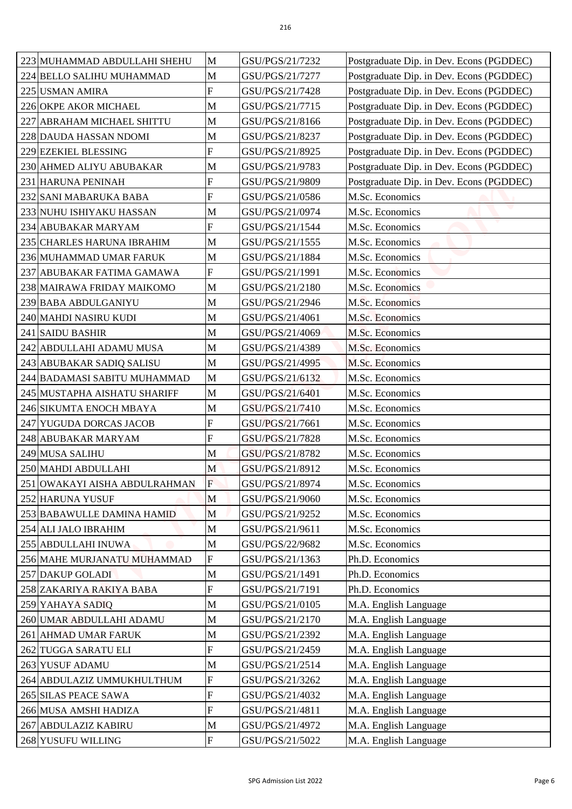| 223 MUHAMMAD ABDULLAHI SHEHU  | M              | GSU/PGS/21/7232 | Postgraduate Dip. in Dev. Econs (PGDDEC) |
|-------------------------------|----------------|-----------------|------------------------------------------|
|                               | M              |                 |                                          |
| 224 BELLO SALIHU MUHAMMAD     | $\mathbf F$    | GSU/PGS/21/7277 | Postgraduate Dip. in Dev. Econs (PGDDEC) |
| 225 USMAN AMIRA               |                | GSU/PGS/21/7428 | Postgraduate Dip. in Dev. Econs (PGDDEC) |
| 226 OKPE AKOR MICHAEL         | M              | GSU/PGS/21/7715 | Postgraduate Dip. in Dev. Econs (PGDDEC) |
| 227 ABRAHAM MICHAEL SHITTU    | $\mathbf M$    | GSU/PGS/21/8166 | Postgraduate Dip. in Dev. Econs (PGDDEC) |
| 228 DAUDA HASSAN NDOMI        | M              | GSU/PGS/21/8237 | Postgraduate Dip. in Dev. Econs (PGDDEC) |
| 229 EZEKIEL BLESSING          | $\overline{F}$ | GSU/PGS/21/8925 | Postgraduate Dip. in Dev. Econs (PGDDEC) |
| 230 AHMED ALIYU ABUBAKAR      | M              | GSU/PGS/21/9783 | Postgraduate Dip. in Dev. Econs (PGDDEC) |
| 231 HARUNA PENINAH            | F              | GSU/PGS/21/9809 | Postgraduate Dip. in Dev. Econs (PGDDEC) |
| 232 SANI MABARUKA BABA        | F              | GSU/PGS/21/0586 | M.Sc. Economics                          |
| 233 NUHU ISHIYAKU HASSAN      | M              | GSU/PGS/21/0974 | M.Sc. Economics                          |
| 234 ABUBAKAR MARYAM           | ${\bf F}$      | GSU/PGS/21/1544 | M.Sc. Economics                          |
| 235 CHARLES HARUNA IBRAHIM    | M              | GSU/PGS/21/1555 | M.Sc. Economics                          |
| 236 MUHAMMAD UMAR FARUK       | M              | GSU/PGS/21/1884 | M.Sc. Economics                          |
| 237 ABUBAKAR FATIMA GAMAWA    | ${\bf F}$      | GSU/PGS/21/1991 | M.Sc. Economics                          |
| 238 MAIRAWA FRIDAY MAIKOMO    | M              | GSU/PGS/21/2180 | M.Sc. Economics                          |
| 239 BABA ABDULGANIYU          | $\mathbf M$    | GSU/PGS/21/2946 | M.Sc. Economics                          |
| 240 MAHDI NASIRU KUDI         | $\mathbf M$    | GSU/PGS/21/4061 | M.Sc. Economics                          |
| 241 SAIDU BASHIR              | M              | GSU/PGS/21/4069 | M.Sc. Economics                          |
| 242 ABDULLAHI ADAMU MUSA      | M              | GSU/PGS/21/4389 | M.Sc. Economics                          |
| 243 ABUBAKAR SADIQ SALISU     | M              | GSU/PGS/21/4995 | M.Sc. Economics                          |
| 244 BADAMASI SABITU MUHAMMAD  | $\mathbf{M}$   | GSU/PGS/21/6132 | M.Sc. Economics                          |
| 245 MUSTAPHA AISHATU SHARIFF  | M              | GSU/PGS/21/6401 | M.Sc. Economics                          |
| 246 SIKUMTA ENOCH MBAYA       | $\mathbf M$    | GSU/PGS/21/7410 | M.Sc. Economics                          |
| 247 YUGUDA DORCAS JACOB       | F              | GSU/PGS/21/7661 | M.Sc. Economics                          |
| 248 ABUBAKAR MARYAM           | $\overline{F}$ | GSU/PGS/21/7828 | M.Sc. Economics                          |
| 249 MUSA SALIHU               | M              | GSU/PGS/21/8782 | M.Sc. Economics                          |
| 250 MAHDI ABDULLAHI           | M              | GSU/PGS/21/8912 | M.Sc. Economics                          |
| 251 OWAKAYI AISHA ABDULRAHMAN | F              | GSU/PGS/21/8974 | M.Sc. Economics                          |
| 252 HARUNA YUSUF              | M              | GSU/PGS/21/9060 | M.Sc. Economics                          |
| 253 BABAWULLE DAMINA HAMID    | M              | GSU/PGS/21/9252 | M.Sc. Economics                          |
| 254 ALI JALO IBRAHIM          | $\mathbf M$    | GSU/PGS/21/9611 | M.Sc. Economics                          |
| 255 ABDULLAHI INUWA           | M              | GSU/PGS/22/9682 | M.Sc. Economics                          |
| 256 MAHE MURJANATU MUHAMMAD   | $\overline{F}$ | GSU/PGS/21/1363 | Ph.D. Economics                          |
| <b>257 DAKUP GOLADI</b>       | M              | GSU/PGS/21/1491 | Ph.D. Economics                          |
| 258 ZAKARIYA RAKIYA BABA      | $\overline{F}$ | GSU/PGS/21/7191 | Ph.D. Economics                          |
| 259 YAHAYA SADIQ              | $\mathbf M$    | GSU/PGS/21/0105 | M.A. English Language                    |
| 260 UMAR ABDULLAHI ADAMU      | M              | GSU/PGS/21/2170 | M.A. English Language                    |
| 261 AHMAD UMAR FARUK          | M              | GSU/PGS/21/2392 | M.A. English Language                    |
| 262 TUGGA SARATU ELI          | $\mathbf F$    | GSU/PGS/21/2459 | M.A. English Language                    |
| 263 YUSUF ADAMU               | M              | GSU/PGS/21/2514 | M.A. English Language                    |
| 264 ABDULAZIZ UMMUKHULTHUM    | ${\bf F}$      | GSU/PGS/21/3262 | M.A. English Language                    |
| 265 SILAS PEACE SAWA          | F              | GSU/PGS/21/4032 | M.A. English Language                    |
| 266 MUSA AMSHI HADIZA         | $\overline{F}$ | GSU/PGS/21/4811 | M.A. English Language                    |
| 267 ABDULAZIZ KABIRU          | M              | GSU/PGS/21/4972 | M.A. English Language                    |
| 268 YUSUFU WILLING            | $\mathbf{F}$   | GSU/PGS/21/5022 | M.A. English Language                    |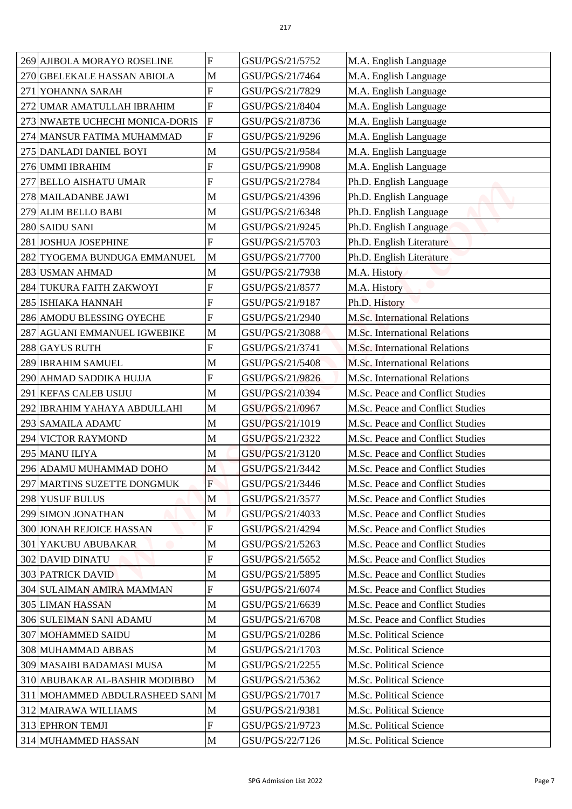| 269 AJIBOLA MORAYO ROSELINE      | F              | GSU/PGS/21/5752 | M.A. English Language                |
|----------------------------------|----------------|-----------------|--------------------------------------|
| 270 GBELEKALE HASSAN ABIOLA      | M              | GSU/PGS/21/7464 | M.A. English Language                |
| <b>YOHANNA SARAH</b><br>271      | F              | GSU/PGS/21/7829 | M.A. English Language                |
| 272<br>UMAR AMATULLAH IBRAHIM    | ${\bf F}$      | GSU/PGS/21/8404 | M.A. English Language                |
| 273 NWAETE UCHECHI MONICA-DORIS  | $\overline{F}$ | GSU/PGS/21/8736 | M.A. English Language                |
| 274 MANSUR FATIMA MUHAMMAD       | F              | GSU/PGS/21/9296 | M.A. English Language                |
|                                  | M              | GSU/PGS/21/9584 |                                      |
| 275 DANLADI DANIEL BOYI          | F              |                 | M.A. English Language                |
| 276 UMMI IBRAHIM                 |                | GSU/PGS/21/9908 | M.A. English Language                |
| <b>BELLO AISHATU UMAR</b><br>277 | F              | GSU/PGS/21/2784 | Ph.D. English Language               |
| 278 MAILADANBE JAWI              | M              | GSU/PGS/21/4396 | Ph.D. English Language               |
| 279 ALIM BELLO BABI              | M              | GSU/PGS/21/6348 | Ph.D. English Language               |
| 280 SAIDU SANI                   | M              | GSU/PGS/21/9245 | Ph.D. English Language               |
| 281 JOSHUA JOSEPHINE             | $\overline{F}$ | GSU/PGS/21/5703 | Ph.D. English Literature             |
| 282 TYOGEMA BUNDUGA EMMANUEL     | $\mathbf M$    | GSU/PGS/21/7700 | Ph.D. English Literature             |
| 283 USMAN AHMAD                  | M              | GSU/PGS/21/7938 | M.A. History                         |
| 284 TUKURA FAITH ZAKWOYI         | F              | GSU/PGS/21/8577 | M.A. History                         |
| 285 ISHIAKA HANNAH               | F              | GSU/PGS/21/9187 | Ph.D. History                        |
| 286 AMODU BLESSING OYECHE        | $\overline{F}$ | GSU/PGS/21/2940 | M.Sc. International Relations        |
| 287 AGUANI EMMANUEL IGWEBIKE     | M              | GSU/PGS/21/3088 | M.Sc. International Relations        |
| 288 GAYUS RUTH                   | ${\bf F}$      | GSU/PGS/21/3741 | <b>M.Sc. International Relations</b> |
| 289 IBRAHIM SAMUEL               | M              | GSU/PGS/21/5408 | M.Sc. International Relations        |
| 290 AHMAD SADDIKA HUJJA          | F              | GSU/PGS/21/9826 | M.Sc. International Relations        |
| 291 KEFAS CALEB USIJU            | M              | GSU/PGS/21/0394 | M.Sc. Peace and Conflict Studies     |
| 292 IBRAHIM YAHAYA ABDULLAHI     | $\mathbf M$    | GSU/PGS/21/0967 | M.Sc. Peace and Conflict Studies     |
| 293 SAMAILA ADAMU                | M              | GSU/PGS/21/1019 | M.Sc. Peace and Conflict Studies     |
| 294 VICTOR RAYMOND               | M              | GSU/PGS/21/2322 | M.Sc. Peace and Conflict Studies     |
| 295 MANU ILIYA                   | M              | GSU/PGS/21/3120 | M.Sc. Peace and Conflict Studies     |
| 296 ADAMU MUHAMMAD DOHO          | M              | GSU/PGS/21/3442 | M.Sc. Peace and Conflict Studies     |
| 297 MARTINS SUZETTE DONGMUK      | $\mathbf{F}$   | GSU/PGS/21/3446 | M.Sc. Peace and Conflict Studies     |
| 298 YUSUF BULUS                  | M              | GSU/PGS/21/3577 | M.Sc. Peace and Conflict Studies     |
| 299 SIMON JONATHAN               | M              | GSU/PGS/21/4033 | M.Sc. Peace and Conflict Studies     |
| <b>300 JONAH REJOICE HASSAN</b>  | $F_{\rm}$      | GSU/PGS/21/4294 | M.Sc. Peace and Conflict Studies     |
| <b>301 YAKUBU ABUBAKAR</b>       | M              | GSU/PGS/21/5263 | M.Sc. Peace and Conflict Studies     |
| <b>302 DAVID DINATU</b>          | $\overline{F}$ | GSU/PGS/21/5652 | M.Sc. Peace and Conflict Studies     |
| <b>303 PATRICK DAVID</b>         | M              | GSU/PGS/21/5895 | M.Sc. Peace and Conflict Studies     |
| 304 SULAIMAN AMIRA MAMMAN        | $\overline{F}$ | GSU/PGS/21/6074 | M.Sc. Peace and Conflict Studies     |
| <b>305 LIMAN HASSAN</b>          | M              | GSU/PGS/21/6639 | M.Sc. Peace and Conflict Studies     |
| 306 SULEIMAN SANI ADAMU          | M              | GSU/PGS/21/6708 | M.Sc. Peace and Conflict Studies     |
| 307 MOHAMMED SAIDU               | M              | GSU/PGS/21/0286 | M.Sc. Political Science              |
| 308 MUHAMMAD ABBAS               | M              | GSU/PGS/21/1703 | M.Sc. Political Science              |
| 309 MASAIBI BADAMASI MUSA        | M              | GSU/PGS/21/2255 | M.Sc. Political Science              |
| 310 ABUBAKAR AL-BASHIR MODIBBO   | M              | GSU/PGS/21/5362 | M.Sc. Political Science              |
| 311 MOHAMMED ABDULRASHEED SANI M |                | GSU/PGS/21/7017 | M.Sc. Political Science              |
| 312 MAIRAWA WILLIAMS             | M              | GSU/PGS/21/9381 | M.Sc. Political Science              |
| 313 EPHRON TEMJI                 | F              | GSU/PGS/21/9723 | M.Sc. Political Science              |
| 314 MUHAMMED HASSAN              | M              | GSU/PGS/22/7126 | M.Sc. Political Science              |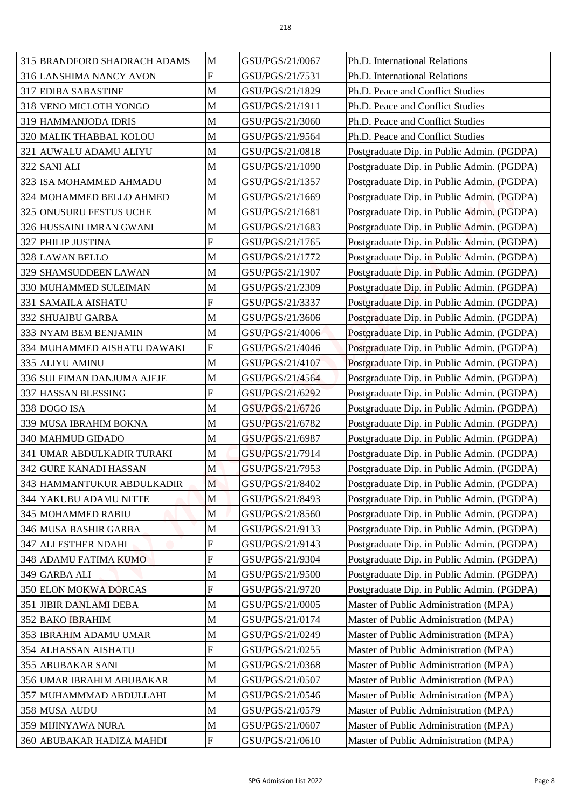| 315 BRANDFORD SHADRACH ADAMS                   | M                         | GSU/PGS/21/0067 | Ph.D. International Relations              |
|------------------------------------------------|---------------------------|-----------------|--------------------------------------------|
|                                                | F                         | GSU/PGS/21/7531 | Ph.D. International Relations              |
| 316 LANSHIMA NANCY AVON                        | M                         | GSU/PGS/21/1829 | Ph.D. Peace and Conflict Studies           |
| 317 EDIBA SABASTINE                            | M                         | GSU/PGS/21/1911 | Ph.D. Peace and Conflict Studies           |
| 318 VENO MICLOTH YONGO<br>319 HAMMANJODA IDRIS | $\mathbf M$               | GSU/PGS/21/3060 | Ph.D. Peace and Conflict Studies           |
|                                                |                           | GSU/PGS/21/9564 | Ph.D. Peace and Conflict Studies           |
| 320 MALIK THABBAL KOLOU                        | M<br>M                    |                 |                                            |
| 321 AUWALU ADAMU ALIYU                         |                           | GSU/PGS/21/0818 | Postgraduate Dip. in Public Admin. (PGDPA) |
| 322 SANI ALI                                   | M                         | GSU/PGS/21/1090 | Postgraduate Dip. in Public Admin. (PGDPA) |
| 323 ISA MOHAMMED AHMADU                        | M                         | GSU/PGS/21/1357 | Postgraduate Dip. in Public Admin. (PGDPA) |
| 324 MOHAMMED BELLO AHMED                       | M                         | GSU/PGS/21/1669 | Postgraduate Dip. in Public Admin. (PGDPA) |
| 325 ONUSURU FESTUS UCHE                        | M                         | GSU/PGS/21/1681 | Postgraduate Dip. in Public Admin. (PGDPA) |
| 326 HUSSAINI IMRAN GWANI                       | M                         | GSU/PGS/21/1683 | Postgraduate Dip. in Public Admin. (PGDPA) |
| 327 PHILIP JUSTINA                             | ${\bf F}$                 | GSU/PGS/21/1765 | Postgraduate Dip. in Public Admin. (PGDPA) |
| 328 LAWAN BELLO                                | M                         | GSU/PGS/21/1772 | Postgraduate Dip. in Public Admin. (PGDPA) |
| 329 SHAMSUDDEEN LAWAN                          | M                         | GSU/PGS/21/1907 | Postgraduate Dip. in Public Admin. (PGDPA) |
| 330 MUHAMMED SULEIMAN                          | M                         | GSU/PGS/21/2309 | Postgraduate Dip. in Public Admin. (PGDPA) |
| 331 SAMAILA AISHATU                            | $\boldsymbol{F}$          | GSU/PGS/21/3337 | Postgraduate Dip. in Public Admin. (PGDPA) |
| 332 SHUAIBU GARBA                              | M                         | GSU/PGS/21/3606 | Postgraduate Dip. in Public Admin. (PGDPA) |
| 333 NYAM BEM BENJAMIN                          | M                         | GSU/PGS/21/4006 | Postgraduate Dip. in Public Admin. (PGDPA) |
| 334 MUHAMMED AISHATU DAWAKI                    | ${\bf F}$                 | GSU/PGS/21/4046 | Postgraduate Dip. in Public Admin. (PGDPA) |
| 335 ALIYU AMINU                                | M                         | GSU/PGS/21/4107 | Postgraduate Dip. in Public Admin. (PGDPA) |
| 336 SULEIMAN DANJUMA AJEJE                     | $\mathbf M$               | GSU/PGS/21/4564 | Postgraduate Dip. in Public Admin. (PGDPA) |
| 337 HASSAN BLESSING                            | $\overline{F}$            | GSU/PGS/21/6292 | Postgraduate Dip. in Public Admin. (PGDPA) |
| 338 DOGO ISA                                   | M                         | GSU/PGS/21/6726 | Postgraduate Dip. in Public Admin. (PGDPA) |
| 339 MUSA IBRAHIM BOKNA                         | M                         | GSU/PGS/21/6782 | Postgraduate Dip. in Public Admin. (PGDPA) |
| 340 MAHMUD GIDADO                              | $\mathbf{M}$              | GSU/PGS/21/6987 | Postgraduate Dip. in Public Admin. (PGDPA) |
| 341 UMAR ABDULKADIR TURAKI                     | M                         | GSU/PGS/21/7914 | Postgraduate Dip. in Public Admin. (PGDPA) |
| 342 GURE KANADI HASSAN                         | M                         | GSU/PGS/21/7953 | Postgraduate Dip. in Public Admin. (PGDPA) |
| 343 HAMMANTUKUR ABDULKADIR                     | M                         | GSU/PGS/21/8402 | Postgraduate Dip. in Public Admin. (PGDPA) |
| 344 YAKUBU ADAMU NITTE                         | M                         | GSU/PGS/21/8493 | Postgraduate Dip. in Public Admin. (PGDPA) |
| 345 MOHAMMED RABIU                             | M                         | GSU/PGS/21/8560 | Postgraduate Dip. in Public Admin. (PGDPA) |
| 346 MUSA BASHIR GARBA                          | $\mathbf M$               | GSU/PGS/21/9133 | Postgraduate Dip. in Public Admin. (PGDPA) |
| 347 ALI ESTHER NDAHI                           | $\boldsymbol{F}$          | GSU/PGS/21/9143 | Postgraduate Dip. in Public Admin. (PGDPA) |
| 348 ADAMU FATIMA KUMO                          | F                         | GSU/PGS/21/9304 | Postgraduate Dip. in Public Admin. (PGDPA) |
| 349 GARBA ALI                                  | M                         | GSU/PGS/21/9500 | Postgraduate Dip. in Public Admin. (PGDPA) |
| 350 ELON MOKWA DORCAS                          | $\overline{F}$            | GSU/PGS/21/9720 | Postgraduate Dip. in Public Admin. (PGDPA) |
| 351 JIBIR DANLAMI DEBA                         | M                         | GSU/PGS/21/0005 | Master of Public Administration (MPA)      |
| <b>352 BAKO IBRAHIM</b>                        | M                         | GSU/PGS/21/0174 | Master of Public Administration (MPA)      |
| 353 IBRAHIM ADAMU UMAR                         | $\mathbf M$               | GSU/PGS/21/0249 | Master of Public Administration (MPA)      |
| 354 ALHASSAN AISHATU                           | $\boldsymbol{\mathrm{F}}$ | GSU/PGS/21/0255 | Master of Public Administration (MPA)      |
| 355 ABUBAKAR SANI                              | M                         | GSU/PGS/21/0368 | Master of Public Administration (MPA)      |
| 356 UMAR IBRAHIM ABUBAKAR                      | $\mathbf{M}$              | GSU/PGS/21/0507 | Master of Public Administration (MPA)      |
| 357 MUHAMMMAD ABDULLAHI                        | M                         | GSU/PGS/21/0546 | Master of Public Administration (MPA)      |
| 358 MUSA AUDU                                  | M                         | GSU/PGS/21/0579 | Master of Public Administration (MPA)      |
| 359 MIJINYAWA NURA                             | $\mathbf M$               | GSU/PGS/21/0607 | Master of Public Administration (MPA)      |
| 360 ABUBAKAR HADIZA MAHDI                      | ${\bf F}$                 | GSU/PGS/21/0610 | Master of Public Administration (MPA)      |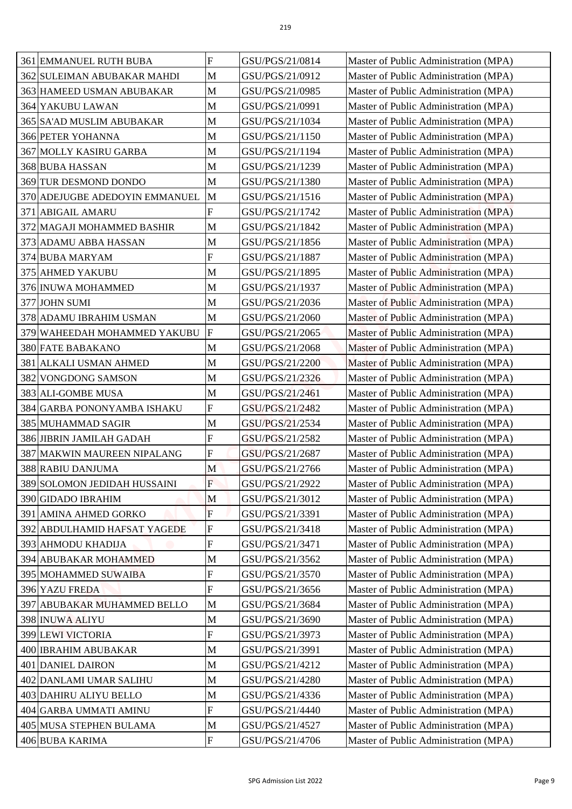|     | <b>361 EMMANUEL RUTH BUBA</b>              | F                         | GSU/PGS/21/0814                    | Master of Public Administration (MPA)                                          |
|-----|--------------------------------------------|---------------------------|------------------------------------|--------------------------------------------------------------------------------|
|     | 362 SULEIMAN ABUBAKAR MAHDI                | M                         | GSU/PGS/21/0912                    | Master of Public Administration (MPA)                                          |
|     | 363 HAMEED USMAN ABUBAKAR                  | M                         | GSU/PGS/21/0985                    | Master of Public Administration (MPA)                                          |
|     | 364 YAKUBU LAWAN                           | M                         | GSU/PGS/21/0991                    | Master of Public Administration (MPA)                                          |
|     | 365 SA'AD MUSLIM ABUBAKAR                  | M                         | GSU/PGS/21/1034                    | Master of Public Administration (MPA)                                          |
|     | <b>366 PETER YOHANNA</b>                   | M                         | GSU/PGS/21/1150                    | Master of Public Administration (MPA)                                          |
|     | <b>367 MOLLY KASIRU GARBA</b>              | M                         | GSU/PGS/21/1194                    | Master of Public Administration (MPA)                                          |
|     | 368 BUBA HASSAN                            | M                         | GSU/PGS/21/1239                    | Master of Public Administration (MPA)                                          |
|     | 369 TUR DESMOND DONDO                      | M                         | GSU/PGS/21/1380                    | Master of Public Administration (MPA)                                          |
|     | 370 ADEJUGBE ADEDOYIN EMMANUEL             | $\mathbf M$               | GSU/PGS/21/1516                    | Master of Public Administration (MPA)                                          |
| 371 | <b>ABIGAIL AMARU</b>                       | F                         | GSU/PGS/21/1742                    | Master of Public Administration (MPA)                                          |
|     | 372 MAGAJI MOHAMMED BASHIR                 | M                         | GSU/PGS/21/1842                    | Master of Public Administration (MPA)                                          |
|     | 373 ADAMU ABBA HASSAN                      | M                         | GSU/PGS/21/1856                    | Master of Public Administration (MPA)                                          |
|     | 374 BUBA MARYAM                            | F                         | GSU/PGS/21/1887                    | Master of Public Administration (MPA)                                          |
|     | 375 AHMED YAKUBU                           | M                         | GSU/PGS/21/1895                    | Master of Public Administration (MPA)                                          |
|     | 376 INUWA MOHAMMED                         | M                         | GSU/PGS/21/1937                    | Master of Public Administration (MPA)                                          |
|     | 377 JOHN SUMI                              | M                         | GSU/PGS/21/2036                    | Master of Public Administration (MPA)                                          |
|     | 378 ADAMU IBRAHIM USMAN                    | M                         | GSU/PGS/21/2060                    | Master of Public Administration (MPA)                                          |
|     | 379 WAHEEDAH MOHAMMED YAKUBU               | $\mathbf F$               | GSU/PGS/21/2065                    | Master of Public Administration (MPA)                                          |
|     | 380 FATE BABAKANO                          | M                         | GSU/PGS/21/2068                    | Master of Public Administration (MPA)                                          |
|     | 381 ALKALI USMAN AHMED                     | M                         | GSU/PGS/21/2200                    | Master of Public Administration (MPA)                                          |
|     | 382 VONGDONG SAMSON                        | M                         | GSU/PGS/21/2326                    | Master of Public Administration (MPA)                                          |
|     | 383 ALI-GOMBE MUSA                         | M                         | GSU/PGS/21/2461                    | Master of Public Administration (MPA)                                          |
|     | 384 GARBA PONONYAMBA ISHAKU                | $\mathbf F$               | GSU/PGS/21/2482                    | Master of Public Administration (MPA)                                          |
|     | 385 MUHAMMAD SAGIR                         | M                         | GSU/PGS/21/2534                    | Master of Public Administration (MPA)                                          |
|     | 386 JIBRIN JAMILAH GADAH                   | $\overline{F}$            | GSU/PGS/21/2582                    | Master of Public Administration (MPA)                                          |
|     | 387 MAKWIN MAUREEN NIPALANG                | F                         | GSU/PGS/21/2687                    | Master of Public Administration (MPA)                                          |
|     | 388 RABIU DANJUMA                          | M                         | GSU/PGS/21/2766                    | Master of Public Administration (MPA)                                          |
|     | 389 SOLOMON JEDIDAH HUSSAINI               | F                         | GSU/PGS/21/2922                    | Master of Public Administration (MPA)                                          |
|     |                                            |                           |                                    |                                                                                |
|     | 390 GIDADO IBRAHIM                         | M                         | GSU/PGS/21/3012                    | Master of Public Administration (MPA)                                          |
|     | 391 AMINA AHMED GORKO                      | F                         | GSU/PGS/21/3391                    | Master of Public Administration (MPA)                                          |
|     | 392 ABDULHAMID HAFSAT YAGEDE               | F                         | GSU/PGS/21/3418                    | Master of Public Administration (MPA)                                          |
|     | 393 AHMODU KHADIJA                         | ${\bf F}$                 | GSU/PGS/21/3471                    | Master of Public Administration (MPA)                                          |
|     | 394 ABUBAKAR MOHAMMED                      | M                         | GSU/PGS/21/3562                    | Master of Public Administration (MPA)                                          |
|     | 395 MOHAMMED SUWAIBA                       | F                         | GSU/PGS/21/3570                    | Master of Public Administration (MPA)                                          |
|     | 396 YAZU FREDA                             | $\overline{F}$            | GSU/PGS/21/3656                    | Master of Public Administration (MPA)                                          |
|     | 397 ABUBAKAR MUHAMMED BELLO                | M                         | GSU/PGS/21/3684                    | Master of Public Administration (MPA)                                          |
|     | 398 INUWA ALIYU                            | M                         | GSU/PGS/21/3690                    | Master of Public Administration (MPA)                                          |
|     | 399 LEWI VICTORIA                          | $\boldsymbol{\mathrm{F}}$ | GSU/PGS/21/3973                    | Master of Public Administration (MPA)                                          |
|     | 400 IBRAHIM ABUBAKAR                       | M                         | GSU/PGS/21/3991                    | Master of Public Administration (MPA)                                          |
|     | 401 DANIEL DAIRON                          | M                         | GSU/PGS/21/4212                    | Master of Public Administration (MPA)                                          |
|     | 402 DANLAMI UMAR SALIHU                    | M                         | GSU/PGS/21/4280                    | Master of Public Administration (MPA)                                          |
|     | 403 DAHIRU ALIYU BELLO                     | M                         | GSU/PGS/21/4336                    | Master of Public Administration (MPA)                                          |
|     | 404 GARBA UMMATI AMINU                     | F                         | GSU/PGS/21/4440                    | Master of Public Administration (MPA)                                          |
|     | 405 MUSA STEPHEN BULAMA<br>406 BUBA KARIMA | M<br>$\mathbf{F}$         | GSU/PGS/21/4527<br>GSU/PGS/21/4706 | Master of Public Administration (MPA)<br>Master of Public Administration (MPA) |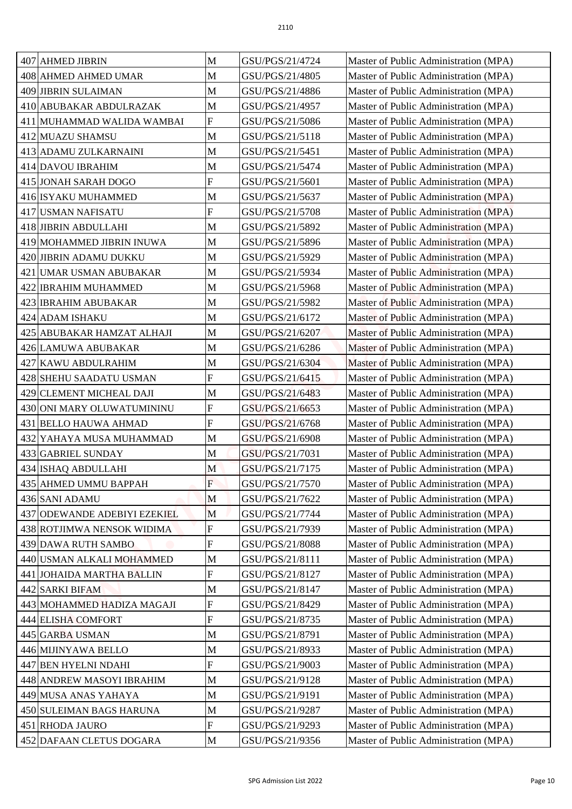| 407 AHMED JIBRIN             | M              | GSU/PGS/21/4724 | Master of Public Administration (MPA) |
|------------------------------|----------------|-----------------|---------------------------------------|
| 408 AHMED AHMED UMAR         | M              | GSU/PGS/21/4805 | Master of Public Administration (MPA) |
| 409 JIBRIN SULAIMAN          | M              | GSU/PGS/21/4886 | Master of Public Administration (MPA) |
| 410 ABUBAKAR ABDULRAZAK      | M              | GSU/PGS/21/4957 | Master of Public Administration (MPA) |
| 411 MUHAMMAD WALIDA WAMBAI   | ${\bf F}$      | GSU/PGS/21/5086 | Master of Public Administration (MPA) |
| 412 MUAZU SHAMSU             | M              | GSU/PGS/21/5118 | Master of Public Administration (MPA) |
| 413 ADAMU ZULKARNAINI        | M              | GSU/PGS/21/5451 | Master of Public Administration (MPA) |
| 414 DAVOU IBRAHIM            | M              | GSU/PGS/21/5474 | Master of Public Administration (MPA) |
| 415 JONAH SARAH DOGO         | F              | GSU/PGS/21/5601 | Master of Public Administration (MPA) |
| 416 ISYAKU MUHAMMED          | M              | GSU/PGS/21/5637 | Master of Public Administration (MPA) |
| 417 USMAN NAFISATU           | F              | GSU/PGS/21/5708 | Master of Public Administration (MPA) |
| 418 JIBRIN ABDULLAHI         | M              | GSU/PGS/21/5892 | Master of Public Administration (MPA) |
| 419 MOHAMMED JIBRIN INUWA    | M              | GSU/PGS/21/5896 | Master of Public Administration (MPA) |
| 420 JIBRIN ADAMU DUKKU       | M              | GSU/PGS/21/5929 | Master of Public Administration (MPA) |
| 421 UMAR USMAN ABUBAKAR      | M              | GSU/PGS/21/5934 | Master of Public Administration (MPA) |
| 422 IBRAHIM MUHAMMED         | M              | GSU/PGS/21/5968 | Master of Public Administration (MPA) |
| 423 IBRAHIM ABUBAKAR         | M              | GSU/PGS/21/5982 | Master of Public Administration (MPA) |
| 424 ADAM ISHAKU              | M              | GSU/PGS/21/6172 | Master of Public Administration (MPA) |
|                              |                | GSU/PGS/21/6207 |                                       |
| 425 ABUBAKAR HAMZAT ALHAJI   | M              |                 | Master of Public Administration (MPA) |
| 426 LAMUWA ABUBAKAR          | M              | GSU/PGS/21/6286 | Master of Public Administration (MPA) |
| 427 KAWU ABDULRAHIM          | M              | GSU/PGS/21/6304 | Master of Public Administration (MPA) |
| 428 SHEHU SAADATU USMAN      | F              | GSU/PGS/21/6415 | Master of Public Administration (MPA) |
| 429 CLEMENT MICHEAL DAJI     | M              | GSU/PGS/21/6483 | Master of Public Administration (MPA) |
| 430 ONI MARY OLUWATUMININU   | F              | GSU/PGS/21/6653 | Master of Public Administration (MPA) |
| 431 BELLO HAUWA AHMAD        | $\mathbf{F}$   | GSU/PGS/21/6768 | Master of Public Administration (MPA) |
| 432 YAHAYA MUSA MUHAMMAD     | $\mathbf M$    | GSU/PGS/21/6908 | Master of Public Administration (MPA) |
| 433 GABRIEL SUNDAY           | M              | GSU/PGS/21/7031 | Master of Public Administration (MPA) |
| 434 ISHAQ ABDULLAHI          | M              | GSU/PGS/21/7175 | Master of Public Administration (MPA) |
| 435 AHMED UMMU BAPPAH        | $\overline{F}$ | GSU/PGS/21/7570 | Master of Public Administration (MPA) |
| 436 SANI ADAMU               | M              | GSU/PGS/21/7622 | Master of Public Administration (MPA) |
| 437 ODEWANDE ADEBIYI EZEKIEL | M              | GSU/PGS/21/7744 | Master of Public Administration (MPA) |
| 438 ROTJIMWA NENSOK WIDIMA   | F              | GSU/PGS/21/7939 | Master of Public Administration (MPA) |
| 439 DAWA RUTH SAMBO          | ${\bf F}$      | GSU/PGS/21/8088 | Master of Public Administration (MPA) |
| 440 USMAN ALKALI MOHAMMED    | M              | GSU/PGS/21/8111 | Master of Public Administration (MPA) |
| 441 JOHAIDA MARTHA BALLIN    | F              | GSU/PGS/21/8127 | Master of Public Administration (MPA) |
| 442 SARKI BIFAM              | M              | GSU/PGS/21/8147 | Master of Public Administration (MPA) |
| 443 MOHAMMED HADIZA MAGAJI   | ${\bf F}$      | GSU/PGS/21/8429 | Master of Public Administration (MPA) |
| 444 ELISHA COMFORT           | F              | GSU/PGS/21/8735 | Master of Public Administration (MPA) |
| 445 GARBA USMAN              | M              | GSU/PGS/21/8791 | Master of Public Administration (MPA) |
| 446 MIJINYAWA BELLO          | M              | GSU/PGS/21/8933 | Master of Public Administration (MPA) |
| 447 BEN HYELNI NDAHI         | F              | GSU/PGS/21/9003 | Master of Public Administration (MPA) |
| 448 ANDREW MASOYI IBRAHIM    | M              | GSU/PGS/21/9128 | Master of Public Administration (MPA) |
| 449 MUSA ANAS YAHAYA         | M              | GSU/PGS/21/9191 | Master of Public Administration (MPA) |
| 450 SULEIMAN BAGS HARUNA     | M              | GSU/PGS/21/9287 | Master of Public Administration (MPA) |
| 451 RHODA JAURO              | F              | GSU/PGS/21/9293 | Master of Public Administration (MPA) |
| 452 DAFAAN CLETUS DOGARA     | M              | GSU/PGS/21/9356 | Master of Public Administration (MPA) |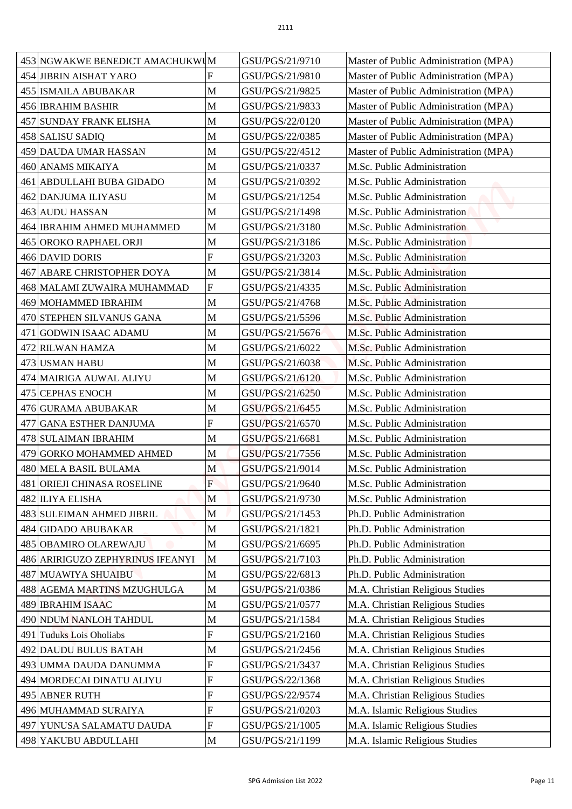| 453 NGWAKWE BENEDICT AMACHUKWUM  |                           | GSU/PGS/21/9710 | Master of Public Administration (MPA) |
|----------------------------------|---------------------------|-----------------|---------------------------------------|
| 454 JIBRIN AISHAT YARO           | F                         | GSU/PGS/21/9810 | Master of Public Administration (MPA) |
| 455 ISMAILA ABUBAKAR             | M                         | GSU/PGS/21/9825 | Master of Public Administration (MPA) |
| 456 IBRAHIM BASHIR               | M                         | GSU/PGS/21/9833 | Master of Public Administration (MPA) |
| 457 SUNDAY FRANK ELISHA          | M                         | GSU/PGS/22/0120 | Master of Public Administration (MPA) |
| 458 SALISU SADIQ                 | M                         | GSU/PGS/22/0385 | Master of Public Administration (MPA) |
| 459 DAUDA UMAR HASSAN            | M                         | GSU/PGS/22/4512 | Master of Public Administration (MPA) |
| 460 ANAMS MIKAIYA                | M                         | GSU/PGS/21/0337 | M.Sc. Public Administration           |
| 461 ABDULLAHI BUBA GIDADO        | M                         | GSU/PGS/21/0392 | M.Sc. Public Administration           |
| 462 DANJUMA ILIYASU              | M                         | GSU/PGS/21/1254 | M.Sc. Public Administration           |
| 463 AUDU HASSAN                  | M                         | GSU/PGS/21/1498 | M.Sc. Public Administration           |
| 464 IBRAHIM AHMED MUHAMMED       | M                         | GSU/PGS/21/3180 | M.Sc. Public Administration           |
| 465 OROKO RAPHAEL ORJI           | M                         | GSU/PGS/21/3186 | M.Sc. Public Administration           |
| 466 DAVID DORIS                  | F                         | GSU/PGS/21/3203 | M.Sc. Public Administration           |
| 467 ABARE CHRISTOPHER DOYA       | M                         | GSU/PGS/21/3814 | M.Sc. Public Administration           |
| 468 MALAMI ZUWAIRA MUHAMMAD      | ${\bf F}$                 | GSU/PGS/21/4335 | M.Sc. Public Administration           |
| 469 MOHAMMED IBRAHIM             | M                         | GSU/PGS/21/4768 | M.Sc. Public Administration           |
| 470 STEPHEN SILVANUS GANA        | M                         | GSU/PGS/21/5596 | M.Sc. Public Administration           |
| 471 GODWIN ISAAC ADAMU           | M                         | GSU/PGS/21/5676 | M.Sc. Public Administration           |
| 472 RILWAN HAMZA                 | M                         | GSU/PGS/21/6022 | M.Sc. Public Administration           |
| 473 USMAN HABU                   | M                         | GSU/PGS/21/6038 | M.Sc. Public Administration           |
| 474 MAIRIGA AUWAL ALIYU          | M                         | GSU/PGS/21/6120 | M.Sc. Public Administration           |
| 475 CEPHAS ENOCH                 | M                         | GSU/PGS/21/6250 | M.Sc. Public Administration           |
| 476 GURAMA ABUBAKAR              | M                         | GSU/PGS/21/6455 | M.Sc. Public Administration           |
| 477 GANA ESTHER DANJUMA          | $\mathbf{F}$              | GSU/PGS/21/6570 | M.Sc. Public Administration           |
| 478 SULAIMAN IBRAHIM             | $\mathbf M$               | GSU/PGS/21/6681 | M.Sc. Public Administration           |
| 479 GORKO MOHAMMED AHMED         | $\mathbf M$               | GSU/PGS/21/7556 | M.Sc. Public Administration           |
| 480 MELA BASIL BULAMA            | M                         | GSU/PGS/21/9014 | M.Sc. Public Administration           |
| 481 ORIEJI CHINASA ROSELINE      | F                         | GSU/PGS/21/9640 | M.Sc. Public Administration           |
| 482 ILIYA ELISHA                 | M                         | GSU/PGS/21/9730 | M.Sc. Public Administration           |
| 483 SULEIMAN AHMED JIBRIL        | M                         | GSU/PGS/21/1453 | Ph.D. Public Administration           |
| 484 GIDADO ABUBAKAR              | M                         | GSU/PGS/21/1821 | Ph.D. Public Administration           |
| 485 OBAMIRO OLAREWAJU            | M                         | GSU/PGS/21/6695 | Ph.D. Public Administration           |
| 486 ARIRIGUZO ZEPHYRINUS IFEANYI | M                         | GSU/PGS/21/7103 | Ph.D. Public Administration           |
| 487 MUAWIYA SHUAIBU              | M                         | GSU/PGS/22/6813 | Ph.D. Public Administration           |
| 488 AGEMA MARTINS MZUGHULGA      | M                         | GSU/PGS/21/0386 | M.A. Christian Religious Studies      |
| <b>489 IBRAHIM ISAAC</b>         | $\mathbf M$               | GSU/PGS/21/0577 | M.A. Christian Religious Studies      |
| 490 NDUM NANLOH TAHDUL           | $\mathbf M$               | GSU/PGS/21/1584 | M.A. Christian Religious Studies      |
| 491 Tuduks Lois Oholiabs         | $\overline{F}$            | GSU/PGS/21/2160 | M.A. Christian Religious Studies      |
| 492 DAUDU BULUS BATAH            | M                         | GSU/PGS/21/2456 | M.A. Christian Religious Studies      |
| 493 UMMA DAUDA DANUMMA           | ${\bf F}$                 | GSU/PGS/21/3437 | M.A. Christian Religious Studies      |
| 494 MORDECAI DINATU ALIYU        | ${\bf F}$                 | GSU/PGS/22/1368 | M.A. Christian Religious Studies      |
| 495 ABNER RUTH                   | F                         | GSU/PGS/22/9574 | M.A. Christian Religious Studies      |
| 496 MUHAMMAD SURAIYA             | $\overline{F}$            | GSU/PGS/21/0203 | M.A. Islamic Religious Studies        |
| 497 YUNUSA SALAMATU DAUDA        | $\boldsymbol{\mathrm{F}}$ | GSU/PGS/21/1005 | M.A. Islamic Religious Studies        |
| 498 YAKUBU ABDULLAHI             | M                         | GSU/PGS/21/1199 | M.A. Islamic Religious Studies        |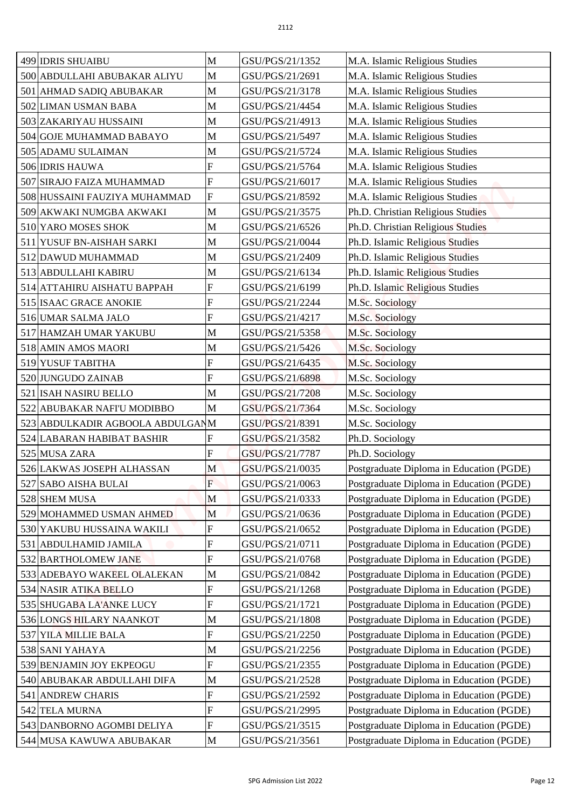| 499 IDRIS SHUAIBU                                       | M                | GSU/PGS/21/1352                    | M.A. Islamic Religious Studies                                                       |
|---------------------------------------------------------|------------------|------------------------------------|--------------------------------------------------------------------------------------|
| 500 ABDULLAHI ABUBAKAR ALIYU                            | M                | GSU/PGS/21/2691                    | M.A. Islamic Religious Studies                                                       |
| 501 AHMAD SADIQ ABUBAKAR                                | $\mathbf M$      | GSU/PGS/21/3178                    | M.A. Islamic Religious Studies                                                       |
| 502 LIMAN USMAN BABA                                    | M                | GSU/PGS/21/4454                    | M.A. Islamic Religious Studies                                                       |
| 503 ZAKARIYAU HUSSAINI                                  | $\mathbf M$      | GSU/PGS/21/4913                    | M.A. Islamic Religious Studies                                                       |
| 504 GOJE MUHAMMAD BABAYO                                | M                | GSU/PGS/21/5497                    | M.A. Islamic Religious Studies                                                       |
| 505 ADAMU SULAIMAN                                      | M                | GSU/PGS/21/5724                    | M.A. Islamic Religious Studies                                                       |
| 506 IDRIS HAUWA                                         | F                | GSU/PGS/21/5764                    | M.A. Islamic Religious Studies                                                       |
| 507 SIRAJO FAIZA MUHAMMAD                               | F                | GSU/PGS/21/6017                    | M.A. Islamic Religious Studies                                                       |
| 508 HUSSAINI FAUZIYA MUHAMMAD                           | $\overline{F}$   | GSU/PGS/21/8592                    | M.A. Islamic Religious Studies                                                       |
| 509 AKWAKI NUMGBA AKWAKI                                | M                | GSU/PGS/21/3575                    | Ph.D. Christian Religious Studies                                                    |
| 510 YARO MOSES SHOK                                     | M                | GSU/PGS/21/6526                    | Ph.D. Christian Religious Studies                                                    |
| 511 YUSUF BN-AISHAH SARKI                               | $\mathbf M$      | GSU/PGS/21/0044                    | Ph.D. Islamic Religious Studies                                                      |
| 512 DAWUD MUHAMMAD                                      | M                | GSU/PGS/21/2409                    | Ph.D. Islamic Religious Studies                                                      |
| 513 ABDULLAHI KABIRU                                    | M                | GSU/PGS/21/6134                    | Ph.D. Islamic Religious Studies                                                      |
| 514 ATTAHIRU AISHATU BAPPAH                             | $\overline{F}$   | GSU/PGS/21/6199                    | Ph.D. Islamic Religious Studies                                                      |
| 515 ISAAC GRACE ANOKIE                                  | F                | GSU/PGS/21/2244                    | M.Sc. Sociology                                                                      |
| 516 UMAR SALMA JALO                                     | F                | GSU/PGS/21/4217                    | M.Sc. Sociology                                                                      |
| 517 HAMZAH UMAR YAKUBU                                  | M                | GSU/PGS/21/5358                    |                                                                                      |
| 518 AMIN AMOS MAORI                                     | M                | GSU/PGS/21/5426                    | M.Sc. Sociology                                                                      |
| 519 YUSUF TABITHA                                       | $\mathbf F$      | GSU/PGS/21/6435                    | M.Sc. Sociology<br>M.Sc. Sociology                                                   |
| 520 JUNGUDO ZAINAB                                      | F                | GSU/PGS/21/6898                    | M.Sc. Sociology                                                                      |
| 521 ISAH NASIRU BELLO                                   | M                | GSU/PGS/21/7208                    | M.Sc. Sociology                                                                      |
| 522 ABUBAKAR NAFI'U MODIBBO                             | M                | GSU/PGS/21/7364                    | M.Sc. Sociology                                                                      |
| 523 ABDULKADIR AGBOOLA ABDULGANM                        |                  | GSU/PGS/21/8391                    | M.Sc. Sociology                                                                      |
| 524 LABARAN HABIBAT BASHIR                              | $\overline{F}$   | GSU/PGS/21/3582                    | Ph.D. Sociology                                                                      |
| 525 MUSA ZARA                                           | F                | GSU/PGS/21/7787                    | Ph.D. Sociology                                                                      |
| 526 LAKWAS JOSEPH ALHASSAN                              | M                | GSU/PGS/21/0035                    | Postgraduate Diploma in Education (PGDE)                                             |
| 527 SABO AISHA BULAI                                    | F                | GSU/PGS/21/0063                    | Postgraduate Diploma in Education (PGDE)                                             |
| 528 SHEM MUSA                                           | M                | GSU/PGS/21/0333                    | Postgraduate Diploma in Education (PGDE)                                             |
|                                                         |                  |                                    |                                                                                      |
| 529 MOHAMMED USMAN AHMED<br>530 YAKUBU HUSSAINA WAKILI  | M<br>F           | GSU/PGS/21/0636<br>GSU/PGS/21/0652 | Postgraduate Diploma in Education (PGDE)<br>Postgraduate Diploma in Education (PGDE) |
| 531<br>ABDULHAMID JAMILA                                | ${\bf F}$        | GSU/PGS/21/0711                    | Postgraduate Diploma in Education (PGDE)                                             |
| 532 BARTHOLOMEW JANE                                    | F                | GSU/PGS/21/0768                    | Postgraduate Diploma in Education (PGDE)                                             |
| 533 ADEBAYO WAKEEL OLALEKAN                             | M                | GSU/PGS/21/0842                    | Postgraduate Diploma in Education (PGDE)                                             |
|                                                         | $\overline{F}$   | GSU/PGS/21/1268                    | Postgraduate Diploma in Education (PGDE)                                             |
| 534 NASIR ATIKA BELLO<br>535 SHUGABA LA'ANKE LUCY       | $\boldsymbol{F}$ | GSU/PGS/21/1721                    | Postgraduate Diploma in Education (PGDE)                                             |
| 536 LONGS HILARY NAANKOT                                | M                | GSU/PGS/21/1808                    | Postgraduate Diploma in Education (PGDE)                                             |
| 537 YILA MILLIE BALA                                    | $\mathbf F$      | GSU/PGS/21/2250                    | Postgraduate Diploma in Education (PGDE)                                             |
| 538 SANI YAHAYA                                         | M                | GSU/PGS/21/2256                    | Postgraduate Diploma in Education (PGDE)                                             |
|                                                         | ${\bf F}$        |                                    |                                                                                      |
| 539 BENJAMIN JOY EKPEOGU<br>540 ABUBAKAR ABDULLAHI DIFA | $\mathbf M$      | GSU/PGS/21/2355<br>GSU/PGS/21/2528 | Postgraduate Diploma in Education (PGDE)<br>Postgraduate Diploma in Education (PGDE) |
| 541                                                     | F                |                                    |                                                                                      |
| <b>ANDREW CHARIS</b>                                    | $\overline{F}$   | GSU/PGS/21/2592                    | Postgraduate Diploma in Education (PGDE)                                             |
| 542 TELA MURNA                                          |                  | GSU/PGS/21/2995                    | Postgraduate Diploma in Education (PGDE)                                             |
| 543 DANBORNO AGOMBI DELIYA<br>544 MUSA KAWUWA ABUBAKAR  | F<br>$\mathbf M$ | GSU/PGS/21/3515<br>GSU/PGS/21/3561 | Postgraduate Diploma in Education (PGDE)<br>Postgraduate Diploma in Education (PGDE) |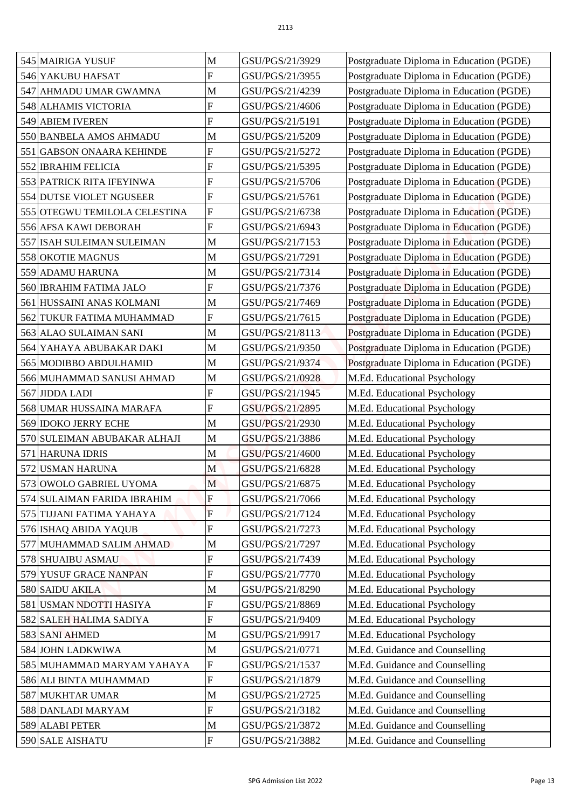| 545 MAIRIGA YUSUF             | M                         | GSU/PGS/21/3929 | Postgraduate Diploma in Education (PGDE) |
|-------------------------------|---------------------------|-----------------|------------------------------------------|
| 546 YAKUBU HAFSAT             | $\overline{F}$            | GSU/PGS/21/3955 | Postgraduate Diploma in Education (PGDE) |
| 547 AHMADU UMAR GWAMNA        | M                         | GSU/PGS/21/4239 | Postgraduate Diploma in Education (PGDE) |
| 548 ALHAMIS VICTORIA          | ${\bf F}$                 | GSU/PGS/21/4606 | Postgraduate Diploma in Education (PGDE) |
| 549 ABIEM IVEREN              | $\overline{F}$            | GSU/PGS/21/5191 | Postgraduate Diploma in Education (PGDE) |
| 550 BANBELA AMOS AHMADU       | M                         | GSU/PGS/21/5209 | Postgraduate Diploma in Education (PGDE) |
|                               | $\overline{F}$            | GSU/PGS/21/5272 |                                          |
| 551 GABSON ONAARA KEHINDE     | $\boldsymbol{F}$          |                 | Postgraduate Diploma in Education (PGDE) |
| 552 IBRAHIM FELICIA           |                           | GSU/PGS/21/5395 | Postgraduate Diploma in Education (PGDE) |
| 553 PATRICK RITA IFEYINWA     | F<br>F                    | GSU/PGS/21/5706 | Postgraduate Diploma in Education (PGDE) |
| 554 DUTSE VIOLET NGUSEER      |                           | GSU/PGS/21/5761 | Postgraduate Diploma in Education (PGDE) |
| 555 OTEGWU TEMILOLA CELESTINA | $\mathbf F$               | GSU/PGS/21/6738 | Postgraduate Diploma in Education (PGDE) |
| 556 AFSA KAWI DEBORAH         | ${\bf F}$                 | GSU/PGS/21/6943 | Postgraduate Diploma in Education (PGDE) |
| 557 ISAH SULEIMAN SULEIMAN    | M                         | GSU/PGS/21/7153 | Postgraduate Diploma in Education (PGDE) |
| 558 OKOTIE MAGNUS             | M                         | GSU/PGS/21/7291 | Postgraduate Diploma in Education (PGDE) |
| 559 ADAMU HARUNA              | M                         | GSU/PGS/21/7314 | Postgraduate Diploma in Education (PGDE) |
| 560 IBRAHIM FATIMA JALO       | $\boldsymbol{\mathrm{F}}$ | GSU/PGS/21/7376 | Postgraduate Diploma in Education (PGDE) |
| 561 HUSSAINI ANAS KOLMANI     | M                         | GSU/PGS/21/7469 | Postgraduate Diploma in Education (PGDE) |
| 562 TUKUR FATIMA MUHAMMAD     | $\mathbf F$               | GSU/PGS/21/7615 | Postgraduate Diploma in Education (PGDE) |
| 563 ALAO SULAIMAN SANI        | M                         | GSU/PGS/21/8113 | Postgraduate Diploma in Education (PGDE) |
| 564 YAHAYA ABUBAKAR DAKI      | M                         | GSU/PGS/21/9350 | Postgraduate Diploma in Education (PGDE) |
| 565 MODIBBO ABDULHAMID        | M                         | GSU/PGS/21/9374 | Postgraduate Diploma in Education (PGDE) |
| 566 MUHAMMAD SANUSI AHMAD     | $\mathbf M$               | GSU/PGS/21/0928 | M.Ed. Educational Psychology             |
| 567 JIDDA LADI                | $\overline{F}$            | GSU/PGS/21/1945 | M.Ed. Educational Psychology             |
| 568 UMAR HUSSAINA MARAFA      | F                         | GSU/PGS/21/2895 | M.Ed. Educational Psychology             |
| 569 IDOKO JERRY ECHE          | M                         | GSU/PGS/21/2930 | M.Ed. Educational Psychology             |
| 570 SULEIMAN ABUBAKAR ALHAJI  | $\mathbf M$               | GSU/PGS/21/3886 | M.Ed. Educational Psychology             |
| 571 HARUNA IDRIS              | M                         | GSU/PGS/21/4600 | M.Ed. Educational Psychology             |
| 572 USMAN HARUNA              | M                         | GSU/PGS/21/6828 | M.Ed. Educational Psychology             |
| 573 OWOLO GABRIEL UYOMA       | M                         | GSU/PGS/21/6875 | M.Ed. Educational Psychology             |
| 574 SULAIMAN FARIDA IBRAHIM   | F                         | GSU/PGS/21/7066 | M.Ed. Educational Psychology             |
| 575 TIJJANI FATIMA YAHAYA     | $\overline{F}$            | GSU/PGS/21/7124 | M.Ed. Educational Psychology             |
| 576 ISHAQ ABIDA YAQUB         | F                         | GSU/PGS/21/7273 | M.Ed. Educational Psychology             |
| 577 MUHAMMAD SALIM AHMAD      | M                         | GSU/PGS/21/7297 | M.Ed. Educational Psychology             |
| 578 SHUAIBU ASMAU             | F                         | GSU/PGS/21/7439 | M.Ed. Educational Psychology             |
| 579 YUSUF GRACE NANPAN        | $\boldsymbol{\mathrm{F}}$ | GSU/PGS/21/7770 | M.Ed. Educational Psychology             |
| 580 SAIDU AKILA               | M                         | GSU/PGS/21/8290 | M.Ed. Educational Psychology             |
| 581 USMAN NDOTTI HASIYA       | $\boldsymbol{\mathrm{F}}$ | GSU/PGS/21/8869 | M.Ed. Educational Psychology             |
| 582 SALEH HALIMA SADIYA       | F                         | GSU/PGS/21/9409 | M.Ed. Educational Psychology             |
| 583 SANI AHMED                | M                         | GSU/PGS/21/9917 | M.Ed. Educational Psychology             |
| 584 JOHN LADKWIWA             | M                         | GSU/PGS/21/0771 | M.Ed. Guidance and Counselling           |
| 585 MUHAMMAD MARYAM YAHAYA    | ${\bf F}$                 | GSU/PGS/21/1537 | M.Ed. Guidance and Counselling           |
| 586 ALI BINTA MUHAMMAD        | ${\bf F}$                 | GSU/PGS/21/1879 | M.Ed. Guidance and Counselling           |
| 587 MUKHTAR UMAR              | M                         | GSU/PGS/21/2725 | M.Ed. Guidance and Counselling           |
| 588 DANLADI MARYAM            | $\overline{F}$            | GSU/PGS/21/3182 | M.Ed. Guidance and Counselling           |
| 589 ALABI PETER               | M                         | GSU/PGS/21/3872 | M.Ed. Guidance and Counselling           |
| 590 SALE AISHATU              | $\mathbf{F}$              | GSU/PGS/21/3882 | M.Ed. Guidance and Counselling           |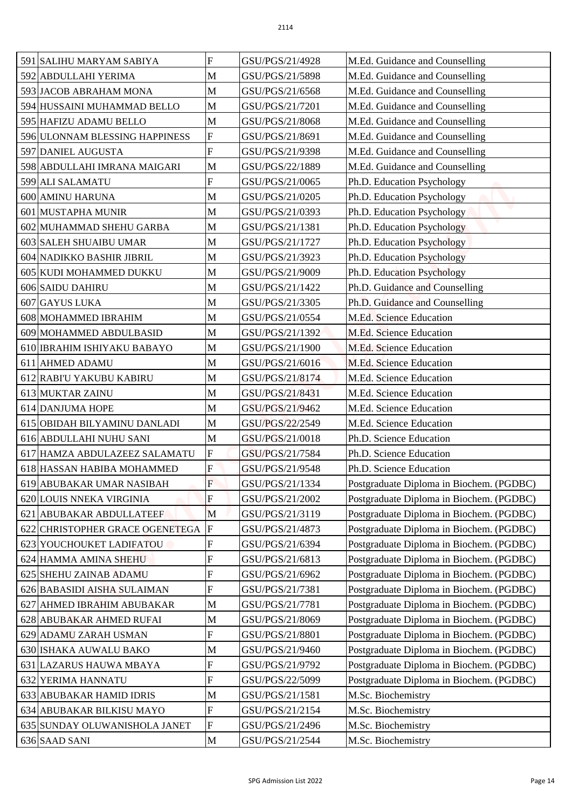| 591 SALIHU MARYAM SABIYA             | F                         | GSU/PGS/21/4928 | M.Ed. Guidance and Counselling           |
|--------------------------------------|---------------------------|-----------------|------------------------------------------|
| 592 ABDULLAHI YERIMA                 | M                         | GSU/PGS/21/5898 | M.Ed. Guidance and Counselling           |
| 593 JACOB ABRAHAM MONA               | $\mathbf M$               | GSU/PGS/21/6568 | M.Ed. Guidance and Counselling           |
| 594 HUSSAINI MUHAMMAD BELLO          | M                         | GSU/PGS/21/7201 | M.Ed. Guidance and Counselling           |
| 595 HAFIZU ADAMU BELLO               | M                         | GSU/PGS/21/8068 | M.Ed. Guidance and Counselling           |
| 596 ULONNAM BLESSING HAPPINESS       | $\boldsymbol{\mathrm{F}}$ | GSU/PGS/21/8691 | M.Ed. Guidance and Counselling           |
| 597 DANIEL AUGUSTA                   | $\overline{F}$            | GSU/PGS/21/9398 |                                          |
|                                      |                           |                 | M.Ed. Guidance and Counselling           |
| 598 ABDULLAHI IMRANA MAIGARI         | M                         | GSU/PGS/22/1889 | M.Ed. Guidance and Counselling           |
| 599 ALI SALAMATU                     | F                         | GSU/PGS/21/0065 | Ph.D. Education Psychology               |
| 600 AMINU HARUNA                     | M                         | GSU/PGS/21/0205 | Ph.D. Education Psychology               |
| 601 MUSTAPHA MUNIR                   | M                         | GSU/PGS/21/0393 | Ph.D. Education Psychology               |
| 602 MUHAMMAD SHEHU GARBA             | M                         | GSU/PGS/21/1381 | Ph.D. Education Psychology               |
| 603 SALEH SHUAIBU UMAR               | $\mathbf M$               | GSU/PGS/21/1727 | Ph.D. Education Psychology               |
| 604 NADIKKO BASHIR JIBRIL            | M                         | GSU/PGS/21/3923 | Ph.D. Education Psychology               |
| 605 KUDI MOHAMMED DUKKU              | M                         | GSU/PGS/21/9009 | Ph.D. Education Psychology               |
| 606 SAIDU DAHIRU                     | M                         | GSU/PGS/21/1422 | Ph.D. Guidance and Counselling           |
| 607 GAYUS LUKA                       | $\mathbf M$               | GSU/PGS/21/3305 | Ph.D. Guidance and Counselling           |
| 608 MOHAMMED IBRAHIM                 | M                         | GSU/PGS/21/0554 | M.Ed. Science Education                  |
| 609 MOHAMMED ABDULBASID              | M                         | GSU/PGS/21/1392 | M.Ed. Science Education                  |
| 610 IBRAHIM ISHIYAKU BABAYO          | M                         | GSU/PGS/21/1900 | M.Ed. Science Education                  |
| 611 AHMED ADAMU                      | M                         | GSU/PGS/21/6016 | M.Ed. Science Education                  |
| 612 RABI'U YAKUBU KABIRU             | $\mathbf M$               | GSU/PGS/21/8174 | M.Ed. Science Education                  |
| 613 MUKTAR ZAINU                     | M                         | GSU/PGS/21/8431 | M.Ed. Science Education                  |
| 614 DANJUMA HOPE                     | M                         | GSU/PGS/21/9462 | M.Ed. Science Education                  |
| 615 OBIDAH BILYAMINU DANLADI         | M                         | GSU/PGS/22/2549 | M.Ed. Science Education                  |
| 616 ABDULLAHI NUHU SANI              | M                         | GSU/PGS/21/0018 | Ph.D. Science Education                  |
| 617 HAMZA ABDULAZEEZ SALAMATU        | F                         | GSU/PGS/21/7584 | Ph.D. Science Education                  |
| 618 HASSAN HABIBA MOHAMMED           | $\overline{F}$            | GSU/PGS/21/9548 | Ph.D. Science Education                  |
| 619 ABUBAKAR UMAR NASIBAH            | $\overline{F}$            | GSU/PGS/21/1334 | Postgraduate Diploma in Biochem. (PGDBC) |
| 620 LOUIS NNEKA VIRGINIA             | F                         | GSU/PGS/21/2002 | Postgraduate Diploma in Biochem. (PGDBC) |
| 621 ABUBAKAR ABDULLATEEF             | M                         | GSU/PGS/21/3119 | Postgraduate Diploma in Biochem. (PGDBC) |
| 622 CHRISTOPHER GRACE OGENETEGA      | $\mathbf{F}$              | GSU/PGS/21/4873 | Postgraduate Diploma in Biochem. (PGDBC) |
| 623 YOUCHOUKET LADIFATOU             | ${\bf F}$                 | GSU/PGS/21/6394 | Postgraduate Diploma in Biochem. (PGDBC) |
| 624 HAMMA AMINA SHEHU                | F                         | GSU/PGS/21/6813 | Postgraduate Diploma in Biochem. (PGDBC) |
| 625 SHEHU ZAINAB ADAMU               | $\mathbf F$               | GSU/PGS/21/6962 | Postgraduate Diploma in Biochem. (PGDBC) |
| 626 BABASIDI AISHA SULAIMAN          | $\overline{F}$            | GSU/PGS/21/7381 | Postgraduate Diploma in Biochem. (PGDBC) |
| <b>AHMED IBRAHIM ABUBAKAR</b><br>627 | M                         | GSU/PGS/21/7781 | Postgraduate Diploma in Biochem. (PGDBC) |
| 628 ABUBAKAR AHMED RUFAI             | M                         | GSU/PGS/21/8069 | Postgraduate Diploma in Biochem. (PGDBC) |
| 629 ADAMU ZARAH USMAN                | ${\bf F}$                 | GSU/PGS/21/8801 | Postgraduate Diploma in Biochem. (PGDBC) |
| 630 ISHAKA AUWALU BAKO               | M                         | GSU/PGS/21/9460 | Postgraduate Diploma in Biochem. (PGDBC) |
| 631 LAZARUS HAUWA MBAYA              | ${\bf F}$                 | GSU/PGS/21/9792 | Postgraduate Diploma in Biochem. (PGDBC) |
| 632 YERIMA HANNATU                   | ${\bf F}$                 | GSU/PGS/22/5099 | Postgraduate Diploma in Biochem. (PGDBC) |
| 633 ABUBAKAR HAMID IDRIS             | M                         | GSU/PGS/21/1581 | M.Sc. Biochemistry                       |
| 634 ABUBAKAR BILKISU MAYO            | ${\bf F}$                 | GSU/PGS/21/2154 | M.Sc. Biochemistry                       |
| 635 SUNDAY OLUWANISHOLA JANET        | $\boldsymbol{\mathrm{F}}$ | GSU/PGS/21/2496 | M.Sc. Biochemistry                       |
| 636 SAAD SANI                        | $\mathbf M$               | GSU/PGS/21/2544 | M.Sc. Biochemistry                       |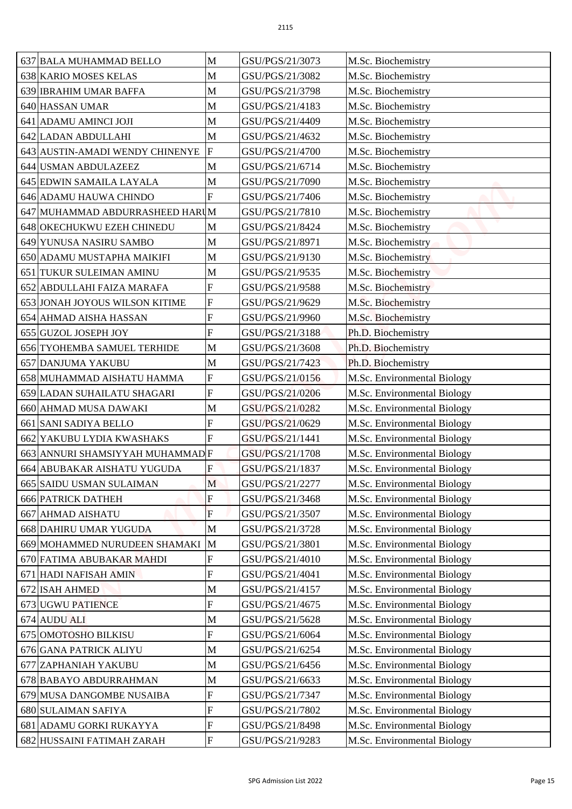| 637 BALA MUHAMMAD BELLO          | M                         | GSU/PGS/21/3073 | M.Sc. Biochemistry          |
|----------------------------------|---------------------------|-----------------|-----------------------------|
| 638 KARIO MOSES KELAS            | M                         | GSU/PGS/21/3082 | M.Sc. Biochemistry          |
| 639 IBRAHIM UMAR BAFFA           | M                         | GSU/PGS/21/3798 | M.Sc. Biochemistry          |
| 640 HASSAN UMAR                  | M                         | GSU/PGS/21/4183 | M.Sc. Biochemistry          |
| 641 ADAMU AMINCI JOJI            | $\mathbf M$               | GSU/PGS/21/4409 | M.Sc. Biochemistry          |
| 642 LADAN ABDULLAHI              | M                         | GSU/PGS/21/4632 | M.Sc. Biochemistry          |
| 643 AUSTIN-AMADI WENDY CHINENYE  | $\overline{F}$            | GSU/PGS/21/4700 | M.Sc. Biochemistry          |
| 644 USMAN ABDULAZEEZ             | $\mathbf M$               | GSU/PGS/21/6714 | M.Sc. Biochemistry          |
| 645 EDWIN SAMAILA LAYALA         | M                         | GSU/PGS/21/7090 | M.Sc. Biochemistry          |
| 646 ADAMU HAUWA CHINDO           | $\overline{F}$            | GSU/PGS/21/7406 | M.Sc. Biochemistry          |
| 647 MUHAMMAD ABDURRASHEED HARUM  |                           | GSU/PGS/21/7810 | M.Sc. Biochemistry          |
| 648 OKECHUKWU EZEH CHINEDU       | M                         | GSU/PGS/21/8424 | M.Sc. Biochemistry          |
| 649 YUNUSA NASIRU SAMBO          | M                         | GSU/PGS/21/8971 | M.Sc. Biochemistry          |
| 650 ADAMU MUSTAPHA MAIKIFI       | M                         | GSU/PGS/21/9130 | M.Sc. Biochemistry          |
| 651 TUKUR SULEIMAN AMINU         | M                         | GSU/PGS/21/9535 | M.Sc. Biochemistry          |
| 652 ABDULLAHI FAIZA MARAFA       | $\overline{F}$            | GSU/PGS/21/9588 | M.Sc. Biochemistry          |
| 653 JONAH JOYOUS WILSON KITIME   | ${\bf F}$                 | GSU/PGS/21/9629 | M.Sc. Biochemistry          |
| 654 AHMAD AISHA HASSAN           | $\mathbf F$               | GSU/PGS/21/9960 | M.Sc. Biochemistry          |
| 655 GUZOL JOSEPH JOY             | $\overline{F}$            | GSU/PGS/21/3188 | Ph.D. Biochemistry          |
| 656 TYOHEMBA SAMUEL TERHIDE      | M                         | GSU/PGS/21/3608 | Ph.D. Biochemistry          |
| 657 DANJUMA YAKUBU               | M                         | GSU/PGS/21/7423 | Ph.D. Biochemistry          |
| 658 MUHAMMAD AISHATU HAMMA       | F                         | GSU/PGS/21/0156 | M.Sc. Environmental Biology |
| 659 LADAN SUHAILATU SHAGARI      | $\overline{F}$            | GSU/PGS/21/0206 | M.Sc. Environmental Biology |
| 660 AHMAD MUSA DAWAKI            | M                         | GSU/PGS/21/0282 | M.Sc. Environmental Biology |
| 661 SANI SADIYA BELLO            | F                         | GSU/PGS/21/0629 | M.Sc. Environmental Biology |
| 662 YAKUBU LYDIA KWASHAKS        | $\mathbf{F}$              | GSU/PGS/21/1441 | M.Sc. Environmental Biology |
| 663 ANNURI SHAMSIYYAH MUHAMMAD F |                           | GSU/PGS/21/1708 | M.Sc. Environmental Biology |
| 664 ABUBAKAR AISHATU YUGUDA      | F                         | GSU/PGS/21/1837 | M.Sc. Environmental Biology |
| 665 SAIDU USMAN SULAIMAN         | M                         | GSU/PGS/21/2277 | M.Sc. Environmental Biology |
| <b>666 PATRICK DATHEH</b>        | F                         | GSU/PGS/21/3468 | M.Sc. Environmental Biology |
| <b>667 AHMAD AISHATU</b>         | F                         | GSU/PGS/21/3507 | M.Sc. Environmental Biology |
| 668 DAHIRU UMAR YUGUDA           | M                         | GSU/PGS/21/3728 | M.Sc. Environmental Biology |
| 669 MOHAMMED NURUDEEN SHAMAKI M  |                           | GSU/PGS/21/3801 | M.Sc. Environmental Biology |
| 670 FATIMA ABUBAKAR MAHDI        | $\overline{F}$            | GSU/PGS/21/4010 | M.Sc. Environmental Biology |
| 671 HADI NAFISAH AMIN            | $\boldsymbol{\mathrm{F}}$ | GSU/PGS/21/4041 | M.Sc. Environmental Biology |
| 672 ISAH AHMED                   | M                         | GSU/PGS/21/4157 | M.Sc. Environmental Biology |
| 673 UGWU PATIENCE                | $\boldsymbol{\mathrm{F}}$ | GSU/PGS/21/4675 | M.Sc. Environmental Biology |
| 674 AUDU ALI                     | M                         | GSU/PGS/21/5628 | M.Sc. Environmental Biology |
| 675 OMOTOSHO BILKISU             | $\mathbf F$               | GSU/PGS/21/6064 | M.Sc. Environmental Biology |
| 676 GANA PATRICK ALIYU           | M                         | GSU/PGS/21/6254 | M.Sc. Environmental Biology |
| 677 ZAPHANIAH YAKUBU             | M                         | GSU/PGS/21/6456 | M.Sc. Environmental Biology |
| 678 BABAYO ABDURRAHMAN           | $\mathbf M$               | GSU/PGS/21/6633 | M.Sc. Environmental Biology |
| 679 MUSA DANGOMBE NUSAIBA        | F                         | GSU/PGS/21/7347 | M.Sc. Environmental Biology |
| 680 SULAIMAN SAFIYA              | ${\bf F}$                 | GSU/PGS/21/7802 | M.Sc. Environmental Biology |
| 681 ADAMU GORKI RUKAYYA          | $\boldsymbol{F}$          | GSU/PGS/21/8498 | M.Sc. Environmental Biology |
| 682 HUSSAINI FATIMAH ZARAH       | $\mathbf{F}$              | GSU/PGS/21/9283 | M.Sc. Environmental Biology |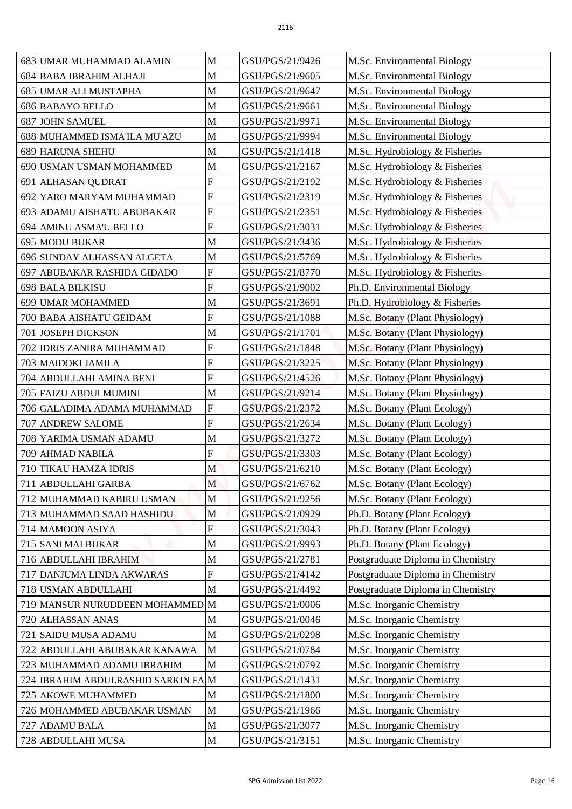|                         | 683 UMAR MUHAMMAD ALAMIN                                    | M                | GSU/PGS/21/9426                    | M.Sc. Environmental Biology                                        |
|-------------------------|-------------------------------------------------------------|------------------|------------------------------------|--------------------------------------------------------------------|
|                         | 684 BABA IBRAHIM ALHAJI                                     | M                | GSU/PGS/21/9605                    | M.Sc. Environmental Biology                                        |
|                         | 685 UMAR ALI MUSTAPHA                                       | M                | GSU/PGS/21/9647                    | M.Sc. Environmental Biology                                        |
| 686 BABAYO BELLO        |                                                             | M                | GSU/PGS/21/9661                    | M.Sc. Environmental Biology                                        |
| <b>687 JOHN SAMUEL</b>  |                                                             | $\mathbf M$      | GSU/PGS/21/9971                    | M.Sc. Environmental Biology                                        |
|                         | 688 MUHAMMED ISMA'ILA MU'AZU                                | M                | GSU/PGS/21/9994                    | M.Sc. Environmental Biology                                        |
|                         | 689 HARUNA SHEHU                                            | M                | GSU/PGS/21/1418                    | M.Sc. Hydrobiology & Fisheries                                     |
|                         | 690 USMAN USMAN MOHAMMED                                    | M                | GSU/PGS/21/2167                    | M.Sc. Hydrobiology & Fisheries                                     |
| 691                     | <b>ALHASAN QUDRAT</b>                                       | F                | GSU/PGS/21/2192                    | M.Sc. Hydrobiology & Fisheries                                     |
|                         | 692 YARO MARYAM MUHAMMAD                                    | $\overline{F}$   | GSU/PGS/21/2319                    | M.Sc. Hydrobiology & Fisheries                                     |
|                         | 693 ADAMU AISHATU ABUBAKAR                                  | $\overline{F}$   | GSU/PGS/21/2351                    | M.Sc. Hydrobiology & Fisheries                                     |
|                         | 694 AMINU ASMA'U BELLO                                      | ${\bf F}$        | GSU/PGS/21/3031                    | M.Sc. Hydrobiology & Fisheries                                     |
| <b>695 MODU BUKAR</b>   |                                                             | M                | GSU/PGS/21/3436                    | M.Sc. Hydrobiology & Fisheries                                     |
|                         | 696 SUNDAY ALHASSAN ALGETA                                  | M                | GSU/PGS/21/5769                    |                                                                    |
|                         | 697 ABUBAKAR RASHIDA GIDADO                                 | ${\bf F}$        | GSU/PGS/21/8770                    | M.Sc. Hydrobiology & Fisheries                                     |
| <b>698 BALA BILKISU</b> |                                                             | ${\bf F}$        | GSU/PGS/21/9002                    | M.Sc. Hydrobiology & Fisheries<br>Ph.D. Environmental Biology      |
|                         | 699 UMAR MOHAMMED                                           | M                | GSU/PGS/21/3691                    | Ph.D. Hydrobiology & Fisheries                                     |
|                         | 700 BABA AISHATU GEIDAM                                     | $\mathbf F$      | GSU/PGS/21/1088                    |                                                                    |
|                         | 701 JOSEPH DICKSON                                          | M                | GSU/PGS/21/1701                    | M.Sc. Botany (Plant Physiology)<br>M.Sc. Botany (Plant Physiology) |
|                         |                                                             | $\mathbf{F}$     |                                    |                                                                    |
|                         | 702 IDRIS ZANIRA MUHAMMAD<br>703 MAIDOKI JAMILA             | ${\bf F}$        | GSU/PGS/21/1848<br>GSU/PGS/21/3225 | M.Sc. Botany (Plant Physiology)<br>M.Sc. Botany (Plant Physiology) |
|                         |                                                             | F                | GSU/PGS/21/4526                    |                                                                    |
|                         | 704 ABDULLAHI AMINA BENI                                    | M                |                                    | M.Sc. Botany (Plant Physiology)                                    |
|                         | 705 FAIZU ABDULMUMINI                                       | $\overline{F}$   | GSU/PGS/21/9214<br>GSU/PGS/21/2372 | M.Sc. Botany (Plant Physiology)                                    |
|                         | 706 GALADIMA ADAMA MUHAMMAD                                 | F                | GSU/PGS/21/2634                    | M.Sc. Botany (Plant Ecology)                                       |
|                         | 707 ANDREW SALOME<br>708 YARIMA USMAN ADAMU                 | $\mathbf M$      | GSU/PGS/21/3272                    | M.Sc. Botany (Plant Ecology)<br>M.Sc. Botany (Plant Ecology)       |
|                         | 709 AHMAD NABILA                                            | F                | GSU/PGS/21/3303                    | M.Sc. Botany (Plant Ecology)                                       |
|                         | 710 TIKAU HAMZA IDRIS                                       | M                | GSU/PGS/21/6210                    | M.Sc. Botany (Plant Ecology)                                       |
|                         | 711 ABDULLAHI GARBA                                         | M                | GSU/PGS/21/6762                    | M.Sc. Botany (Plant Ecology)                                       |
|                         | 712 MUHAMMAD KABIRU USMAN                                   | M                | GSU/PGS/21/9256                    | M.Sc. Botany (Plant Ecology)                                       |
|                         |                                                             |                  |                                    |                                                                    |
|                         | 713 MUHAMMAD SAAD HASHIDU<br>714 MAMOON ASIYA               | M<br>F           | GSU/PGS/21/0929<br>GSU/PGS/21/3043 | Ph.D. Botany (Plant Ecology)<br>Ph.D. Botany (Plant Ecology)       |
|                         | 715 SANI MAI BUKAR                                          | M                | GSU/PGS/21/9993                    | Ph.D. Botany (Plant Ecology)                                       |
|                         | 716 ABDULLAHI IBRAHIM                                       | M                | GSU/PGS/21/2781                    | Postgraduate Diploma in Chemistry                                  |
|                         |                                                             | F                | GSU/PGS/21/4142                    | Postgraduate Diploma in Chemistry                                  |
|                         | 717 DANJUMA LINDA AKWARAS                                   | M                | GSU/PGS/21/4492                    | Postgraduate Diploma in Chemistry                                  |
|                         | 718 USMAN ABDULLAHI<br>719 MANSUR NURUDDEEN MOHAMMED M      |                  | GSU/PGS/21/0006                    | M.Sc. Inorganic Chemistry                                          |
|                         |                                                             | M                |                                    | M.Sc. Inorganic Chemistry                                          |
|                         | 720 ALHASSAN ANAS<br>721 SAIDU MUSA ADAMU                   | M                | GSU/PGS/21/0046<br>GSU/PGS/21/0298 | M.Sc. Inorganic Chemistry                                          |
|                         |                                                             | M                | GSU/PGS/21/0784                    |                                                                    |
|                         | 722 ABDULLAHI ABUBAKAR KANAWA<br>723 MUHAMMAD ADAMU IBRAHIM | M                | GSU/PGS/21/0792                    | M.Sc. Inorganic Chemistry<br>M.Sc. Inorganic Chemistry             |
|                         | 724 IBRAHIM ABDULRASHID SARKIN FAM                          |                  | GSU/PGS/21/1431                    | M.Sc. Inorganic Chemistry                                          |
|                         |                                                             |                  |                                    |                                                                    |
|                         | 725 AKOWE MUHAMMED                                          | M                | GSU/PGS/21/1800                    | M.Sc. Inorganic Chemistry                                          |
|                         | 726 MOHAMMED ABUBAKAR USMAN                                 | M                | GSU/PGS/21/1966                    | M.Sc. Inorganic Chemistry                                          |
| 727 ADAMU BALA          | 728 ABDULLAHI MUSA                                          | $\mathbf M$<br>M | GSU/PGS/21/3077<br>GSU/PGS/21/3151 | M.Sc. Inorganic Chemistry<br>M.Sc. Inorganic Chemistry             |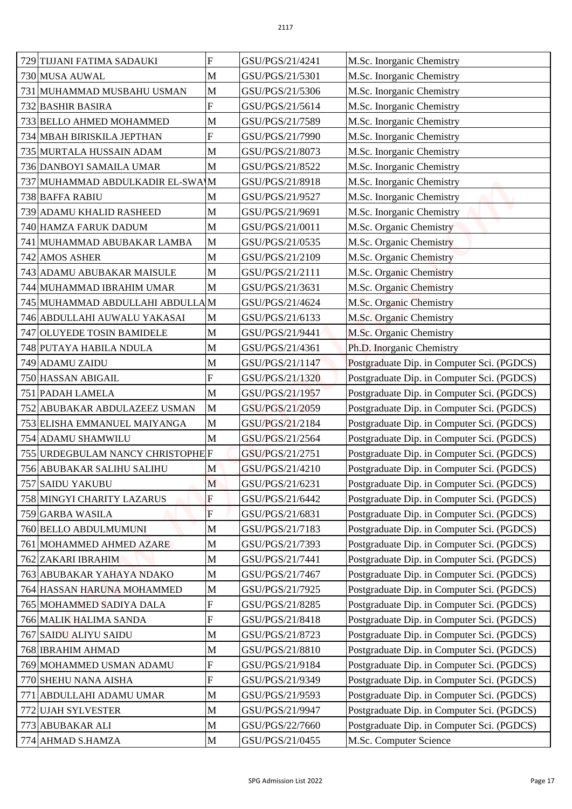| 729 TIJJANI FATIMA SADAUKI                             | F                          | GSU/PGS/21/4241                    | M.Sc. Inorganic Chemistry                                                                |
|--------------------------------------------------------|----------------------------|------------------------------------|------------------------------------------------------------------------------------------|
| 730 MUSA AUWAL                                         | M                          | GSU/PGS/21/5301                    | M.Sc. Inorganic Chemistry                                                                |
| 731 MUHAMMAD MUSBAHU USMAN                             | $\mathbf M$                | GSU/PGS/21/5306                    | M.Sc. Inorganic Chemistry                                                                |
| 732 BASHIR BASIRA                                      | ${\bf F}$                  | GSU/PGS/21/5614                    | M.Sc. Inorganic Chemistry                                                                |
| 733 BELLO AHMED MOHAMMED                               | M                          | GSU/PGS/21/7589                    | M.Sc. Inorganic Chemistry                                                                |
| 734 MBAH BIRISKILA JEPTHAN                             | F                          | GSU/PGS/21/7990                    | M.Sc. Inorganic Chemistry                                                                |
| 735 MURTALA HUSSAIN ADAM                               | M                          | GSU/PGS/21/8073                    | M.Sc. Inorganic Chemistry                                                                |
| 736 DANBOYI SAMAILA UMAR                               | M                          | GSU/PGS/21/8522                    | M.Sc. Inorganic Chemistry                                                                |
| 737 MUHAMMAD ABDULKADIR EL-SWA M                       |                            | GSU/PGS/21/8918                    | M.Sc. Inorganic Chemistry                                                                |
| 738 BAFFA RABIU                                        | M                          | GSU/PGS/21/9527                    | M.Sc. Inorganic Chemistry                                                                |
| 739 ADAMU KHALID RASHEED                               | $\mathbf M$                | GSU/PGS/21/9691                    | M.Sc. Inorganic Chemistry                                                                |
| 740 HAMZA FARUK DADUM                                  | M                          | GSU/PGS/21/0011                    | M.Sc. Organic Chemistry                                                                  |
| 741 MUHAMMAD ABUBAKAR LAMBA                            | M                          | GSU/PGS/21/0535                    | M.Sc. Organic Chemistry                                                                  |
| 742 AMOS ASHER                                         | $\mathbf M$                | GSU/PGS/21/2109                    | M.Sc. Organic Chemistry                                                                  |
| 743 ADAMU ABUBAKAR MAISULE                             | M                          | GSU/PGS/21/2111                    | M.Sc. Organic Chemistry                                                                  |
| 744 MUHAMMAD IBRAHIM UMAR                              | M                          | GSU/PGS/21/3631                    | M.Sc. Organic Chemistry                                                                  |
| 745 MUHAMMAD ABDULLAHI ABDULLAM                        |                            | GSU/PGS/21/4624                    | M.Sc. Organic Chemistry                                                                  |
| 746 ABDULLAHI AUWALU YAKASAI                           | M                          | GSU/PGS/21/6133                    | M.Sc. Organic Chemistry                                                                  |
| 747 OLUYEDE TOSIN BAMIDELE                             | M                          | GSU/PGS/21/9441                    | M.Sc. Organic Chemistry                                                                  |
| 748 PUTAYA HABILA NDULA                                | M                          | GSU/PGS/21/4361                    | Ph.D. Inorganic Chemistry                                                                |
| 749 ADAMU ZAIDU                                        | $\mathbf M$                | GSU/PGS/21/1147                    | Postgraduate Dip. in Computer Sci. (PGDCS)                                               |
| 750 HASSAN ABIGAIL                                     | F                          | GSU/PGS/21/1320                    | Postgraduate Dip. in Computer Sci. (PGDCS)                                               |
| <b>751 PADAH LAMELA</b>                                | M                          | GSU/PGS/21/1957                    | Postgraduate Dip. in Computer Sci. (PGDCS)                                               |
| 752 ABUBAKAR ABDULAZEEZ USMAN                          | M                          | GSU/PGS/21/2059                    | Postgraduate Dip. in Computer Sci. (PGDCS)                                               |
| 753 ELISHA EMMANUEL MAIYANGA                           | M                          | GSU/PGS/21/2184                    | Postgraduate Dip. in Computer Sci. (PGDCS)                                               |
| 754 ADAMU SHAMWILU                                     | M                          | GSU/PGS/21/2564                    | Postgraduate Dip. in Computer Sci. (PGDCS)                                               |
| 755 URDEGBULAM NANCY CHRISTOPHE F                      |                            | GSU/PGS/21/2751                    | Postgraduate Dip. in Computer Sci. (PGDCS)                                               |
| 756 ABUBAKAR SALIHU SALIHU                             | M                          | GSU/PGS/21/4210                    | Postgraduate Dip. in Computer Sci. (PGDCS)                                               |
| <b>757 SAIDU YAKUBU</b>                                | M                          | GSU/PGS/21/6231                    | Postgraduate Dip. in Computer Sci. (PGDCS)                                               |
| 758 MINGYI CHARITY LAZARUS                             | F                          | GSU/PGS/21/6442                    | Postgraduate Dip. in Computer Sci. (PGDCS)                                               |
| 759 GARBA WASILA                                       | F                          | GSU/PGS/21/6831                    | Postgraduate Dip. in Computer Sci. (PGDCS)                                               |
| 760 BELLO ABDULMUMUNI                                  | M                          | GSU/PGS/21/7183                    | Postgraduate Dip. in Computer Sci. (PGDCS)                                               |
| 761 MOHAMMED AHMED AZARE                               | $\mathbf M$                | GSU/PGS/21/7393                    | Postgraduate Dip. in Computer Sci. (PGDCS)                                               |
| 762 ZAKARI IBRAHIM                                     | $\mathbf M$                | GSU/PGS/21/7441                    | Postgraduate Dip. in Computer Sci. (PGDCS)                                               |
| 763 ABUBAKAR YAHAYA NDAKO                              | $\mathbf M$                | GSU/PGS/21/7467                    | Postgraduate Dip. in Computer Sci. (PGDCS)                                               |
| 764 HASSAN HARUNA MOHAMMED                             | M                          | GSU/PGS/21/7925                    | Postgraduate Dip. in Computer Sci. (PGDCS)                                               |
|                                                        | $\boldsymbol{\mathrm{F}}$  | GSU/PGS/21/8285                    | Postgraduate Dip. in Computer Sci. (PGDCS)                                               |
| 765 MOHAMMED SADIYA DALA                               |                            |                                    |                                                                                          |
| 766 MALIK HALIMA SANDA<br><b>767 SAIDU ALIYU SAIDU</b> | F<br>M                     | GSU/PGS/21/8418<br>GSU/PGS/21/8723 | Postgraduate Dip. in Computer Sci. (PGDCS)<br>Postgraduate Dip. in Computer Sci. (PGDCS) |
| 768 IBRAHIM AHMAD                                      | M                          | GSU/PGS/21/8810                    | Postgraduate Dip. in Computer Sci. (PGDCS)                                               |
|                                                        | ${\bf F}$                  | GSU/PGS/21/9184                    | Postgraduate Dip. in Computer Sci. (PGDCS)                                               |
| 769 MOHAMMED USMAN ADAMU<br>770 SHEHU NANA AISHA       | ${\bf F}$                  | GSU/PGS/21/9349                    | Postgraduate Dip. in Computer Sci. (PGDCS)                                               |
|                                                        |                            |                                    |                                                                                          |
| 771<br><b>ABDULLAHI ADAMU UMAR</b>                     | M                          | GSU/PGS/21/9593                    | Postgraduate Dip. in Computer Sci. (PGDCS)                                               |
| 772 UJAH SYLVESTER                                     | M                          | GSU/PGS/21/9947                    | Postgraduate Dip. in Computer Sci. (PGDCS)                                               |
| 773 ABUBAKAR ALI<br>774 AHMAD S.HAMZA                  | $\mathbf M$<br>$\mathbf M$ | GSU/PGS/22/7660<br>GSU/PGS/21/0455 | Postgraduate Dip. in Computer Sci. (PGDCS)<br>M.Sc. Computer Science                     |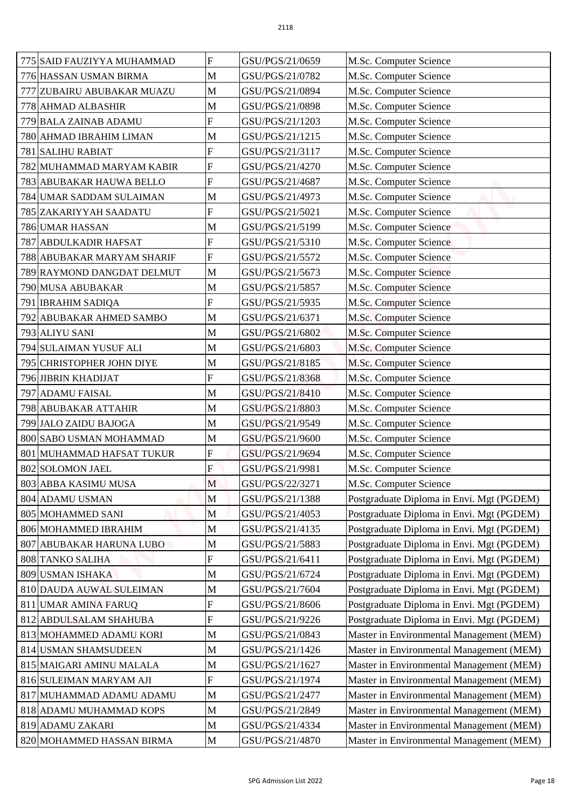| 775 SAID FAUZIYYA MUHAMMAD | F                         | GSU/PGS/21/0659                    | M.Sc. Computer Science                                                               |
|----------------------------|---------------------------|------------------------------------|--------------------------------------------------------------------------------------|
| 776 HASSAN USMAN BIRMA     | M                         | GSU/PGS/21/0782                    | M.Sc. Computer Science                                                               |
| 777 ZUBAIRU ABUBAKAR MUAZU | $\mathbf M$               | GSU/PGS/21/0894                    | M.Sc. Computer Science                                                               |
| 778 AHMAD ALBASHIR         | M                         | GSU/PGS/21/0898                    | M.Sc. Computer Science                                                               |
| 779 BALA ZAINAB ADAMU      | $\overline{F}$            | GSU/PGS/21/1203                    | M.Sc. Computer Science                                                               |
| 780 AHMAD IBRAHIM LIMAN    | M                         | GSU/PGS/21/1215                    | M.Sc. Computer Science                                                               |
| <b>781 SALIHU RABIAT</b>   | $\overline{F}$            | GSU/PGS/21/3117                    | M.Sc. Computer Science                                                               |
| 782 MUHAMMAD MARYAM KABIR  | $\overline{F}$            | GSU/PGS/21/4270                    | M.Sc. Computer Science                                                               |
| 783 ABUBAKAR HAUWA BELLO   | F                         | GSU/PGS/21/4687                    | M.Sc. Computer Science                                                               |
| 784 UMAR SADDAM SULAIMAN   | M                         | GSU/PGS/21/4973                    | M.Sc. Computer Science                                                               |
| 785 ZAKARIYYAH SAADATU     | $\overline{F}$            | GSU/PGS/21/5021                    | M.Sc. Computer Science                                                               |
| 786 UMAR HASSAN            | M                         | GSU/PGS/21/5199                    | M.Sc. Computer Science                                                               |
| 787 ABDULKADIR HAFSAT      | $\overline{F}$            | GSU/PGS/21/5310                    | M.Sc. Computer Science                                                               |
| 788 ABUBAKAR MARYAM SHARIF | $\boldsymbol{\mathrm{F}}$ | GSU/PGS/21/5572                    | M.Sc. Computer Science                                                               |
| 789 RAYMOND DANGDAT DELMUT | M                         | GSU/PGS/21/5673                    | M.Sc. Computer Science                                                               |
| 790 MUSA ABUBAKAR          | $\mathbf M$               | GSU/PGS/21/5857                    | M.Sc. Computer Science                                                               |
| 791 IBRAHIM SADIQA         | $\overline{F}$            | GSU/PGS/21/5935                    | M.Sc. Computer Science                                                               |
| 792 ABUBAKAR AHMED SAMBO   | M                         | GSU/PGS/21/6371                    | M.Sc. Computer Science                                                               |
| 793 ALIYU SANI             | M                         | GSU/PGS/21/6802                    | M.Sc. Computer Science                                                               |
| 794 SULAIMAN YUSUF ALI     | M                         | GSU/PGS/21/6803                    | M.Sc. Computer Science                                                               |
| 795 CHRISTOPHER JOHN DIYE  | $\mathbf M$               | GSU/PGS/21/8185                    | M.Sc. Computer Science                                                               |
| 796 JIBRIN KHADIJAT        | F                         | GSU/PGS/21/8368                    | M.Sc. Computer Science                                                               |
|                            | M                         | GSU/PGS/21/8410                    |                                                                                      |
| 797 ADAMU FAISAL           |                           |                                    | M.Sc. Computer Science                                                               |
| 798 ABUBAKAR ATTAHIR       | $\mathbf M$               | GSU/PGS/21/8803                    | M.Sc. Computer Science                                                               |
| 799 JALO ZAIDU BAJOGA      | M                         | GSU/PGS/21/9549                    | M.Sc. Computer Science                                                               |
| 800 SABO USMAN MOHAMMAD    | $\mathbf M$               | GSU/PGS/21/9600                    | M.Sc. Computer Science                                                               |
| 801 MUHAMMAD HAFSAT TUKUR  | F                         | GSU/PGS/21/9694                    | M.Sc. Computer Science                                                               |
| 802 SOLOMON JAEL           | F                         | GSU/PGS/21/9981                    | M.Sc. Computer Science                                                               |
| 803 ABBA KASIMU MUSA       | M                         | GSU/PGS/22/3271                    | M.Sc. Computer Science                                                               |
| 804 ADAMU USMAN            | M                         | GSU/PGS/21/1388                    | Postgraduate Diploma in Envi. Mgt (PGDEM)                                            |
| 805 MOHAMMED SANI          | M                         | GSU/PGS/21/4053                    | Postgraduate Diploma in Envi. Mgt (PGDEM)                                            |
| 806 MOHAMMED IBRAHIM       | $\mathbf M$               | GSU/PGS/21/4135                    | Postgraduate Diploma in Envi. Mgt (PGDEM)                                            |
| 807 ABUBAKAR HARUNA LUBO   | $\mathbf M$               | GSU/PGS/21/5883                    | Postgraduate Diploma in Envi. Mgt (PGDEM)                                            |
| <b>808 TANKO SALIHA</b>    | $\overline{F}$            | GSU/PGS/21/6411                    | Postgraduate Diploma in Envi. Mgt (PGDEM)                                            |
| 809 USMAN ISHAKA           | M                         | GSU/PGS/21/6724                    | Postgraduate Diploma in Envi. Mgt (PGDEM)                                            |
| 810 DAUDA AUWAL SULEIMAN   | M                         | GSU/PGS/21/7604                    | Postgraduate Diploma in Envi. Mgt (PGDEM)                                            |
| 811 UMAR AMINA FARUQ       | $\boldsymbol{\mathrm{F}}$ | GSU/PGS/21/8606                    | Postgraduate Diploma in Envi. Mgt (PGDEM)                                            |
| 812 ABDULSALAM SHAHUBA     | F                         | GSU/PGS/21/9226                    | Postgraduate Diploma in Envi. Mgt (PGDEM)                                            |
| 813 MOHAMMED ADAMU KORI    | M                         | GSU/PGS/21/0843                    | Master in Environmental Management (MEM)                                             |
| 814 USMAN SHAMSUDEEN       | M                         | GSU/PGS/21/1426                    | Master in Environmental Management (MEM)                                             |
| 815 MAIGARI AMINU MALALA   | M                         | GSU/PGS/21/1627                    | Master in Environmental Management (MEM)                                             |
| 816 SULEIMAN MARYAM AJI    | ${\bf F}$                 | GSU/PGS/21/1974                    | Master in Environmental Management (MEM)                                             |
| 817 MUHAMMAD ADAMU ADAMU   | M                         | GSU/PGS/21/2477                    | Master in Environmental Management (MEM)                                             |
| 818 ADAMU MUHAMMAD KOPS    | M                         | GSU/PGS/21/2849                    | Master in Environmental Management (MEM)                                             |
| 819 ADAMU ZAKARI           | M<br>$\mathbf M$          | GSU/PGS/21/4334<br>GSU/PGS/21/4870 | Master in Environmental Management (MEM)<br>Master in Environmental Management (MEM) |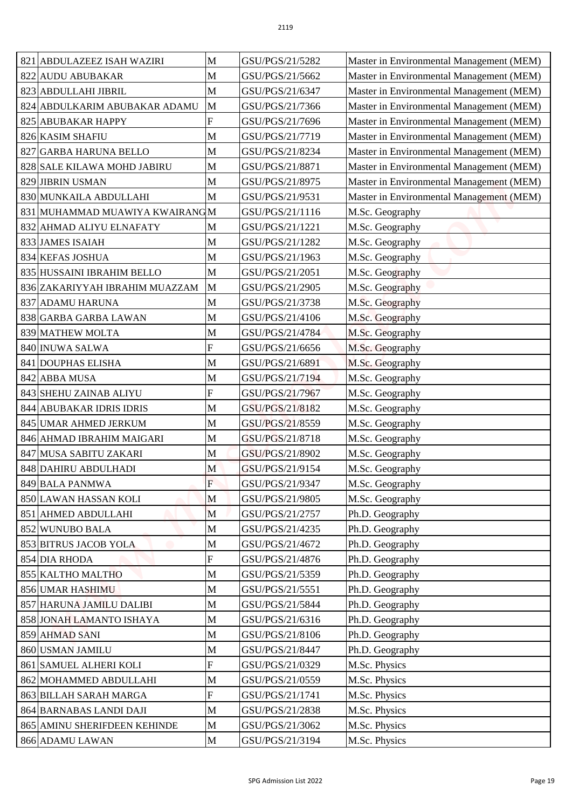| 821<br><b>ABDULAZEEZ ISAH WAZIRI</b>            | M                 | GSU/PGS/21/5282                    | Master in Environmental Management (MEM) |
|-------------------------------------------------|-------------------|------------------------------------|------------------------------------------|
| 822 AUDU ABUBAKAR                               | M                 | GSU/PGS/21/5662                    | Master in Environmental Management (MEM) |
| 823 ABDULLAHI JIBRIL                            | M                 | GSU/PGS/21/6347                    | Master in Environmental Management (MEM) |
| 824<br>ABDULKARIM ABUBAKAR ADAMU                | M                 | GSU/PGS/21/7366                    | Master in Environmental Management (MEM) |
| 825 ABUBAKAR HAPPY                              | $\overline{F}$    | GSU/PGS/21/7696                    | Master in Environmental Management (MEM) |
| 826 KASIM SHAFIU                                | M                 | GSU/PGS/21/7719                    | Master in Environmental Management (MEM) |
| 827 GARBA HARUNA BELLO                          | M                 | GSU/PGS/21/8234                    | Master in Environmental Management (MEM) |
| 828 SALE KILAWA MOHD JABIRU                     | M                 | GSU/PGS/21/8871                    | Master in Environmental Management (MEM) |
| 829 JIBRIN USMAN                                | M                 | GSU/PGS/21/8975                    | Master in Environmental Management (MEM) |
| 830 MUNKAILA ABDULLAHI                          | M                 | GSU/PGS/21/9531                    | Master in Environmental Management (MEM) |
| 831 MUHAMMAD MUAWIYA KWAIRANG M                 |                   | GSU/PGS/21/1116                    | M.Sc. Geography                          |
| 832 AHMAD ALIYU ELNAFATY                        | M                 | GSU/PGS/21/1221                    | M.Sc. Geography                          |
| 833 JAMES ISAIAH                                | $\mathbf M$       | GSU/PGS/21/1282                    | M.Sc. Geography                          |
| 834 KEFAS JOSHUA                                | M                 | GSU/PGS/21/1963                    | M.Sc. Geography                          |
| 835 HUSSAINI IBRAHIM BELLO                      | M                 | GSU/PGS/21/2051                    | M.Sc. Geography                          |
| 836 ZAKARIYYAH IBRAHIM MUAZZAM                  | M                 | GSU/PGS/21/2905                    | M.Sc. Geography                          |
| 837 ADAMU HARUNA                                | $\mathbf M$       | GSU/PGS/21/3738                    | M.Sc. Geography                          |
| 838 GARBA GARBA LAWAN                           | M                 | GSU/PGS/21/4106                    | M.Sc. Geography                          |
| 839 MATHEW MOLTA                                | M                 | GSU/PGS/21/4784                    | M.Sc. Geography                          |
| 840 INUWA SALWA                                 | $\boldsymbol{F}$  | GSU/PGS/21/6656                    | M.Sc. Geography                          |
| 841 DOUPHAS ELISHA                              | M                 | GSU/PGS/21/6891                    | M.Sc. Geography                          |
| 842 ABBA MUSA                                   | M                 | GSU/PGS/21/7194                    | M.Sc. Geography                          |
| 843 SHEHU ZAINAB ALIYU                          | $\overline{F}$    | GSU/PGS/21/7967                    | M.Sc. Geography                          |
| 844 ABUBAKAR IDRIS IDRIS                        | M                 | GSU/PGS/21/8182                    | M.Sc. Geography                          |
| 845 UMAR AHMED JERKUM                           | M                 | GSU/PGS/21/8559                    | M.Sc. Geography                          |
| 846 AHMAD IBRAHIM MAIGARI                       | $\mathbf M$       | GSU/PGS/21/8718                    | M.Sc. Geography                          |
| 847 MUSA SABITU ZAKARI                          | M                 | GSU/PGS/21/8902                    | M.Sc. Geography                          |
| 848 DAHIRU ABDULHADI                            | M                 | GSU/PGS/21/9154                    | M.Sc. Geography                          |
| 849 BALA PANMWA                                 | $\overline{F}$    | GSU/PGS/21/9347                    | M.Sc. Geography                          |
| 850 LAWAN HASSAN KOLI                           | M                 | GSU/PGS/21/9805                    | M.Sc. Geography                          |
| 851 AHMED ABDULLAHI                             | M                 | GSU/PGS/21/2757                    | Ph.D. Geography                          |
| 852 WUNUBO BALA                                 | M                 | GSU/PGS/21/4235                    | Ph.D. Geography                          |
| 853 BITRUS JACOB YOLA                           | $\mathbf M$       | GSU/PGS/21/4672                    | Ph.D. Geography                          |
| 854 DIA RHODA                                   | $\overline{F}$    | GSU/PGS/21/4876                    | Ph.D. Geography                          |
| 855 KALTHO MALTHO                               | $\mathbf M$       | GSU/PGS/21/5359                    | Ph.D. Geography                          |
| 856 UMAR HASHIMU                                | M                 | GSU/PGS/21/5551                    | Ph.D. Geography                          |
| 857 HARUNA JAMILU DALIBI                        | $\mathbf M$       | GSU/PGS/21/5844                    | Ph.D. Geography                          |
| 858 JONAH LAMANTO ISHAYA                        | M                 | GSU/PGS/21/6316                    | Ph.D. Geography                          |
|                                                 | M                 |                                    |                                          |
| 859 AHMAD SANI<br>860 USMAN JAMILU              | M                 | GSU/PGS/21/8106<br>GSU/PGS/21/8447 | Ph.D. Geography                          |
| 861 SAMUEL ALHERI KOLI                          | $\boldsymbol{F}$  | GSU/PGS/21/0329                    | Ph.D. Geography<br>M.Sc. Physics         |
| 862 MOHAMMED ABDULLAHI                          | $\mathbf M$       | GSU/PGS/21/0559                    | M.Sc. Physics                            |
|                                                 | F                 |                                    | M.Sc. Physics                            |
| 863 BILLAH SARAH MARGA                          |                   | GSU/PGS/21/1741<br>GSU/PGS/21/2838 |                                          |
| 864 BARNABAS LANDI DAJI                         | M                 |                                    | M.Sc. Physics                            |
| 865 AMINU SHERIFDEEN KEHINDE<br>866 ADAMU LAWAN | M<br>$\mathbf{M}$ | GSU/PGS/21/3062<br>GSU/PGS/21/3194 | M.Sc. Physics<br>M.Sc. Physics           |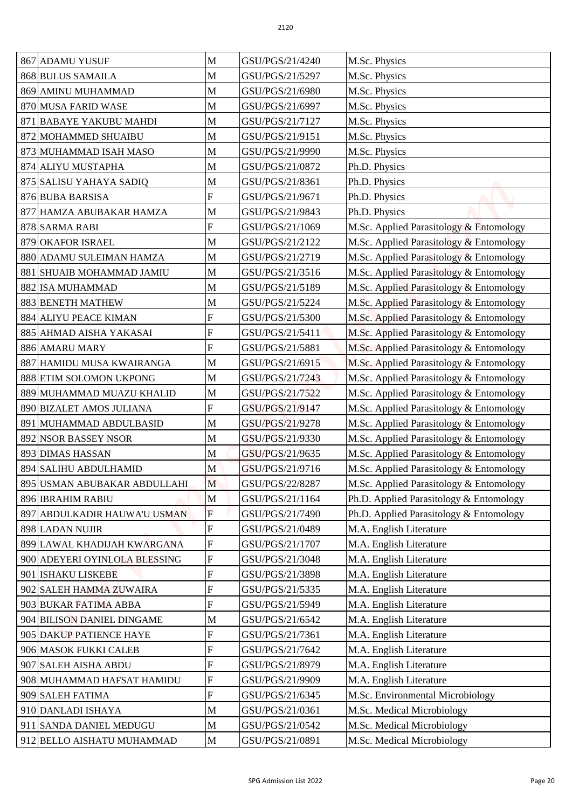| 867 ADAMU YUSUF                                       | M                | GSU/PGS/21/4240                    |                                                          |
|-------------------------------------------------------|------------------|------------------------------------|----------------------------------------------------------|
| 868 BULUS SAMAILA                                     | M                | GSU/PGS/21/5297                    | M.Sc. Physics                                            |
|                                                       |                  |                                    | M.Sc. Physics                                            |
| 869 AMINU MUHAMMAD                                    | M                | GSU/PGS/21/6980                    | M.Sc. Physics                                            |
| 870 MUSA FARID WASE<br>871 BABAYE YAKUBU MAHDI        | M<br>$\mathbf M$ | GSU/PGS/21/6997                    | M.Sc. Physics<br>M.Sc. Physics                           |
|                                                       |                  | GSU/PGS/21/7127                    |                                                          |
| 872 MOHAMMED SHUAIBU                                  | M                | GSU/PGS/21/9151                    | M.Sc. Physics                                            |
| 873 MUHAMMAD ISAH MASO                                | M                | GSU/PGS/21/9990                    | M.Sc. Physics                                            |
| 874 ALIYU MUSTAPHA                                    | M                | GSU/PGS/21/0872                    | Ph.D. Physics                                            |
| 875 SALISU YAHAYA SADIQ                               | M                | GSU/PGS/21/8361                    | Ph.D. Physics                                            |
| 876 BUBA BARSISA                                      | F                | GSU/PGS/21/9671                    | Ph.D. Physics                                            |
| 877 HAMZA ABUBAKAR HAMZA                              | M                | GSU/PGS/21/9843                    | Ph.D. Physics                                            |
| 878 SARMA RABI                                        | ${\bf F}$        | GSU/PGS/21/1069                    | M.Sc. Applied Parasitology & Entomology                  |
| <b>879 OKAFOR ISRAEL</b>                              | M                | GSU/PGS/21/2122                    | M.Sc. Applied Parasitology & Entomology                  |
| 880 ADAMU SULEIMAN HAMZA                              | M                | GSU/PGS/21/2719                    | M.Sc. Applied Parasitology & Entomology                  |
| 881 SHUAIB MOHAMMAD JAMIU                             | M                | GSU/PGS/21/3516                    | M.Sc. Applied Parasitology & Entomology                  |
| 882 ISA MUHAMMAD                                      | M                | GSU/PGS/21/5189                    | M.Sc. Applied Parasitology & Entomology                  |
| 883 BENETH MATHEW                                     | M                | GSU/PGS/21/5224                    | M.Sc. Applied Parasitology & Entomology                  |
| 884 ALIYU PEACE KIMAN                                 | F                | GSU/PGS/21/5300                    | M.Sc. Applied Parasitology & Entomology                  |
| 885 AHMAD AISHA YAKASAI                               | F                | GSU/PGS/21/5411                    | M.Sc. Applied Parasitology & Entomology                  |
| 886 AMARU MARY                                        | $\mathbf{F}$     | GSU/PGS/21/5881                    | M.Sc. Applied Parasitology & Entomology                  |
| 887 HAMIDU MUSA KWAIRANGA                             | M                | GSU/PGS/21/6915                    | M.Sc. Applied Parasitology & Entomology                  |
| 888 ETIM SOLOMON UKPONG                               | M                | GSU/PGS/21/7243                    | M.Sc. Applied Parasitology & Entomology                  |
| 889 MUHAMMAD MUAZU KHALID                             | M                | GSU/PGS/21/7522                    | M.Sc. Applied Parasitology & Entomology                  |
| 890 BIZALET AMOS JULIANA                              | F                | GSU/PGS/21/9147                    | M.Sc. Applied Parasitology & Entomology                  |
| 891 MUHAMMAD ABDULBASID                               | M                | GSU/PGS/21/9278                    | M.Sc. Applied Parasitology & Entomology                  |
| 892 NSOR BASSEY NSOR                                  | $\mathbf M$      | GSU/PGS/21/9330                    | M.Sc. Applied Parasitology & Entomology                  |
| <b>893 DIMAS HASSAN</b>                               | M                | GSU/PGS/21/9635                    | M.Sc. Applied Parasitology & Entomology                  |
| 894 SALIHU ABDULHAMID                                 | M                | GSU/PGS/21/9716                    | M.Sc. Applied Parasitology & Entomology                  |
| 895 USMAN ABUBAKAR ABDULLAHI                          | M                | GSU/PGS/22/8287                    | M.Sc. Applied Parasitology & Entomology                  |
| 896 IBRAHIM RABIU                                     | $\mathbf M$      | GSU/PGS/21/1164                    | Ph.D. Applied Parasitology & Entomology                  |
| 897 ABDULKADIR HAUWA'U USMAN                          | $\mathbf F$      | GSU/PGS/21/7490                    | Ph.D. Applied Parasitology & Entomology                  |
| 898 LADAN NUJIR                                       | $\overline{F}$   | GSU/PGS/21/0489                    | M.A. English Literature                                  |
| 899 LAWAL KHADIJAH KWARGANA                           | ${\bf F}$        | GSU/PGS/21/1707                    | M.A. English Literature                                  |
| 900 ADEYERI OYINLOLA BLESSING                         | $\overline{F}$   | GSU/PGS/21/3048                    | M.A. English Literature                                  |
| 901 ISHAKU LISKEBE                                    | $\boldsymbol{F}$ | GSU/PGS/21/3898                    | M.A. English Literature                                  |
| 902 SALEH HAMMA ZUWAIRA                               | $\overline{F}$   | GSU/PGS/21/5335                    | M.A. English Literature                                  |
| 903 BUKAR FATIMA ABBA                                 | $\boldsymbol{F}$ | GSU/PGS/21/5949                    | M.A. English Literature                                  |
| 904 BILISON DANIEL DINGAME                            | M                | GSU/PGS/21/6542                    | M.A. English Literature                                  |
| 905 DAKUP PATIENCE HAYE                               | $\boldsymbol{F}$ | GSU/PGS/21/7361                    | M.A. English Literature                                  |
| 906 MASOK FUKKI CALEB                                 | F                | GSU/PGS/21/7642                    | M.A. English Literature                                  |
| 907 SALEH AISHA ABDU                                  | $\mathbf{F}$     | GSU/PGS/21/8979                    | M.A. English Literature                                  |
| 908 MUHAMMAD HAFSAT HAMIDU                            | $\boldsymbol{F}$ | GSU/PGS/21/9909                    | M.A. English Literature                                  |
| 909 SALEH FATIMA                                      | F                | GSU/PGS/21/6345                    | M.Sc. Environmental Microbiology                         |
| 910 DANLADI ISHAYA                                    | M                | GSU/PGS/21/0361                    | M.Sc. Medical Microbiology                               |
|                                                       |                  |                                    |                                                          |
| 911 SANDA DANIEL MEDUGU<br>912 BELLO AISHATU MUHAMMAD | M<br>$\mathbf M$ | GSU/PGS/21/0542<br>GSU/PGS/21/0891 | M.Sc. Medical Microbiology<br>M.Sc. Medical Microbiology |